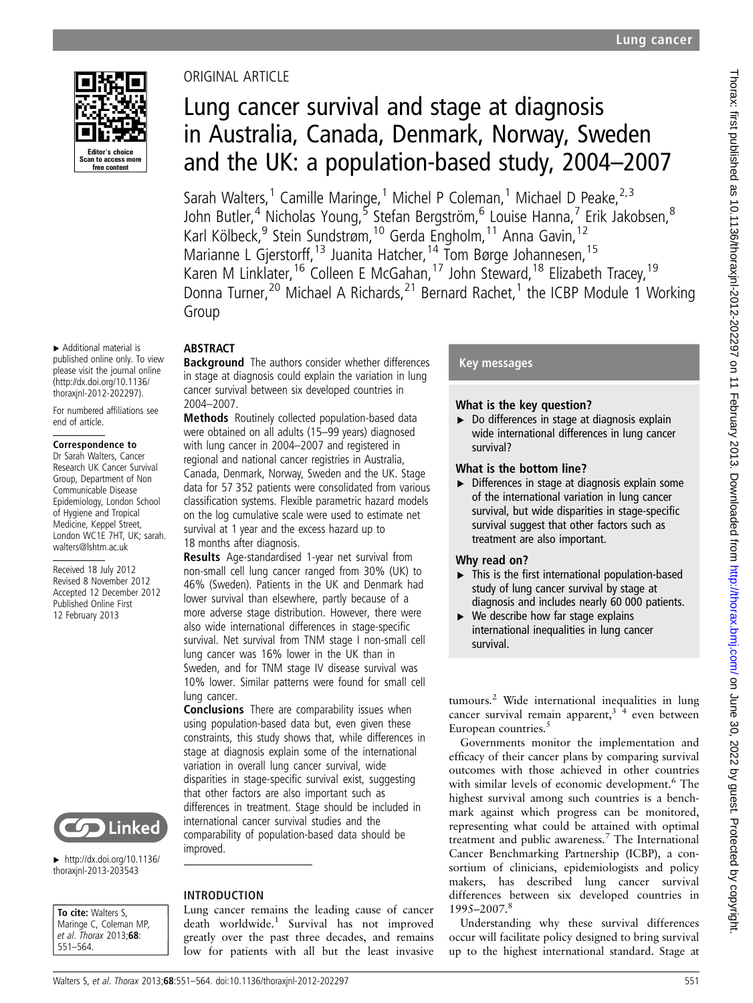

▸ Additional material is published online only. To view please visit the journal online [\(http://dx.doi.org/10.1136/](http://dx.doi.org/10.1136/thoraxjnl-2012-202297) [thoraxjnl-2012-202297\)](http://dx.doi.org/10.1136/thoraxjnl-2012-202297).

For numbered affiliations see end of article.

#### Correspondence to

Dr Sarah Walters, Cancer Research UK Cancer Survival Group, Department of Non Communicable Disease Epidemiology, London School of Hygiene and Tropical Medicine, Keppel Street, London WC1E 7HT, UK; sarah. walters@lshtm.ac.uk

Received 18 July 2012 Revised 8 November 2012 Accepted 12 December 2012 Published Online First 12 February 2013



▸ [http://dx.doi.org/10.1136/](http://dx.doi.org/10.1136/thoraxjnl-2013-203543) [thoraxjnl-2013-203543](http://dx.doi.org/10.1136/thoraxjnl-2013-203543)

To cite: Walters S. Maringe C, Coleman MP, et al. Thorax 2013;68: 551–564.

# ORIGINAL ARTICLE

# Lung cancer survival and stage at diagnosis in Australia, Canada, Denmark, Norway, Sweden and the UK: a population-based study, 2004–2007

Sarah Walters,<sup>1</sup> Camille Maringe,<sup>1</sup> Michel P Coleman,<sup>1</sup> Michael D Peake,<sup>2,3</sup> John Butler,<sup>4</sup> Nicholas Young,<sup>5</sup> Stefan Bergström,<sup>6</sup> Louise Hanna,<sup>7</sup> Erik Jakobsen,<sup>8</sup> Karl Kölbeck,<sup>9</sup> Stein Sundstrøm,<sup>10</sup> Gerda Engholm,<sup>11</sup> Anna Gavin,<sup>12</sup> Marianne L Gjerstorff, <sup>13</sup> Juanita Hatcher, <sup>14</sup> Tom Børge Johannesen, <sup>15</sup> Karen M Linklater,<sup>16</sup> Colleen E McGahan,<sup>17</sup> John Steward,<sup>18</sup> Elizabeth Tracey,<sup>19</sup> Donna Turner,<sup>20</sup> Michael A Richards,<sup>21</sup> Bernard Rachet,<sup>1</sup> the ICBP Module 1 Working Group

# ABSTRACT

**Background** The authors consider whether differences in stage at diagnosis could explain the variation in lung cancer survival between six developed countries in 2004–2007.

Methods Routinely collected population-based data were obtained on all adults (15–99 years) diagnosed with lung cancer in 2004–2007 and registered in regional and national cancer registries in Australia, Canada, Denmark, Norway, Sweden and the UK. Stage data for 57 352 patients were consolidated from various classification systems. Flexible parametric hazard models on the log cumulative scale were used to estimate net survival at 1 year and the excess hazard up to 18 months after diagnosis.

Results Age-standardised 1-year net survival from non-small cell lung cancer ranged from 30% (UK) to 46% (Sweden). Patients in the UK and Denmark had lower survival than elsewhere, partly because of a more adverse stage distribution. However, there were also wide international differences in stage-specific survival. Net survival from TNM stage I non-small cell lung cancer was 16% lower in the UK than in Sweden, and for TNM stage IV disease survival was 10% lower. Similar patterns were found for small cell lung cancer.

**Conclusions** There are comparability issues when using population-based data but, even given these constraints, this study shows that, while differences in stage at diagnosis explain some of the international variation in overall lung cancer survival, wide disparities in stage-specific survival exist, suggesting that other factors are also important such as differences in treatment. Stage should be included in international cancer survival studies and the comparability of population-based data should be improved.

# INTRODUCTION

Lung cancer remains the leading cause of cancer death worldwide.<sup>1</sup> Survival has not improved greatly over the past three decades, and remains low for patients with all but the least invasive

## Key messages

# What is the key question?

▶ Do differences in stage at diagnosis explain wide international differences in lung cancer survival?

## What is the bottom line?

▸ Differences in stage at diagnosis explain some of the international variation in lung cancer survival, but wide disparities in stage-specific survival suggest that other factors such as treatment are also important.

#### Why read on?

- $\blacktriangleright$  This is the first international population-based study of lung cancer survival by stage at diagnosis and includes nearly 60 000 patients.
- $\triangleright$  We describe how far stage explains international inequalities in lung cancer survival.

tumours.<sup>2</sup> Wide international inequalities in lung cancer survival remain apparent, $3\frac{1}{4}$  even between European countries.<sup>5</sup>

Governments monitor the implementation and efficacy of their cancer plans by comparing survival outcomes with those achieved in other countries with similar levels of economic development.<sup>6</sup> The highest survival among such countries is a benchmark against which progress can be monitored, representing what could be attained with optimal treatment and public awareness.<sup>7</sup> The International Cancer Benchmarking Partnership (ICBP), a consortium of clinicians, epidemiologists and policy makers, has described lung cancer survival differences between six developed countries in 1995–2007.8

Understanding why these survival differences occur will facilitate policy designed to bring survival up to the highest international standard. Stage at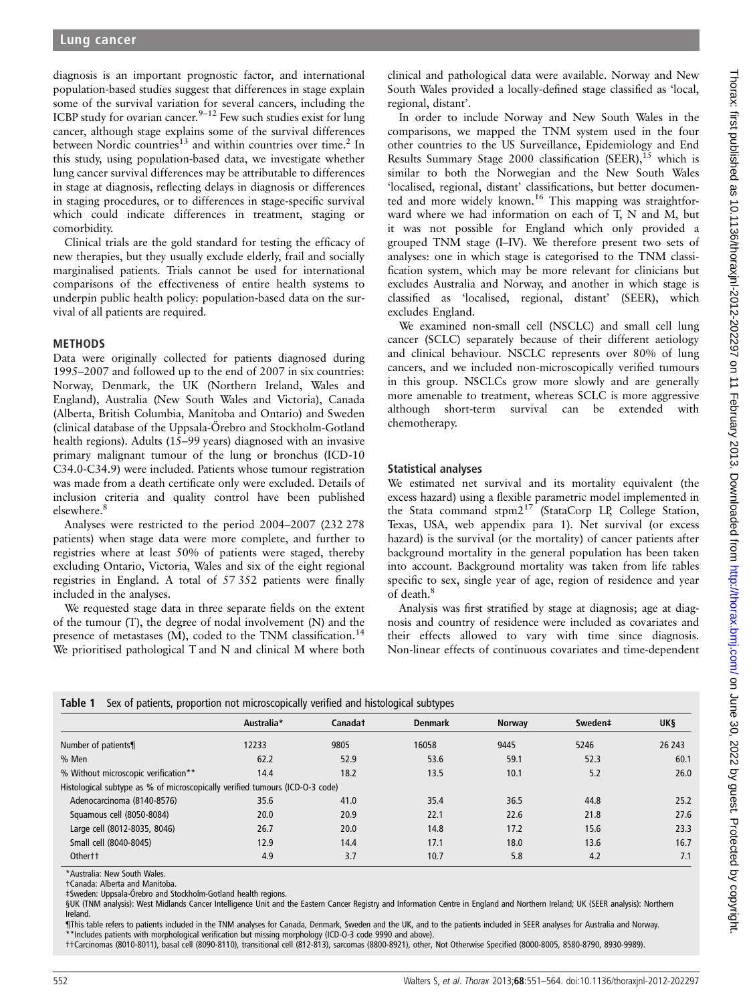diagnosis is an important prognostic factor, and international population-based studies suggest that differences in stage explain some of the survival variation for several cancers, including the ICBP study for ovarian cancer.<sup>9–12</sup> Few such studies exist for lung cancer, although stage explains some of the survival differences between Nordic countries<sup>13</sup> and within countries over time.<sup>2</sup> In this study, using population-based data, we investigate whether lung cancer survival differences may be attributable to differences in stage at diagnosis, reflecting delays in diagnosis or differences in staging procedures, or to differences in stage-specific survival which could indicate differences in treatment, staging or comorbidity.

Clinical trials are the gold standard for testing the efficacy of new therapies, but they usually exclude elderly, frail and socially marginalised patients. Trials cannot be used for international comparisons of the effectiveness of entire health systems to underpin public health policy: population-based data on the survival of all patients are required.

#### METHODS

Data were originally collected for patients diagnosed during 1995–2007 and followed up to the end of 2007 in six countries: Norway, Denmark, the UK (Northern Ireland, Wales and England), Australia (New South Wales and Victoria), Canada (Alberta, British Columbia, Manitoba and Ontario) and Sweden (clinical database of the Uppsala-Örebro and Stockholm-Gotland health regions). Adults (15–99 years) diagnosed with an invasive primary malignant tumour of the lung or bronchus (ICD-10 C34.0-C34.9) were included. Patients whose tumour registration was made from a death certificate only were excluded. Details of inclusion criteria and quality control have been published elsewhere.<sup>8</sup>

Analyses were restricted to the period 2004–2007 (232 278 patients) when stage data were more complete, and further to registries where at least 50% of patients were staged, thereby excluding Ontario, Victoria, Wales and six of the eight regional registries in England. A total of 57 352 patients were finally included in the analyses.

We requested stage data in three separate fields on the extent of the tumour (T), the degree of nodal involvement (N) and the presence of metastases (M), coded to the TNM classification.<sup>14</sup> We prioritised pathological T and N and clinical M where both

clinical and pathological data were available. Norway and New South Wales provided a locally-defined stage classified as 'local, regional, distant'.

In order to include Norway and New South Wales in the comparisons, we mapped the TNM system used in the four other countries to the US Surveillance, Epidemiology and End Results Summary Stage 2000 classification (SEER), $^{15}$  which is similar to both the Norwegian and the New South Wales 'localised, regional, distant' classifications, but better documented and more widely known.<sup>16</sup> This mapping was straightforward where we had information on each of T, N and M, but it was not possible for England which only provided a grouped TNM stage (I–IV). We therefore present two sets of analyses: one in which stage is categorised to the TNM classification system, which may be more relevant for clinicians but excludes Australia and Norway, and another in which stage is classified as 'localised, regional, distant' (SEER), which excludes England.

We examined non-small cell (NSCLC) and small cell lung cancer (SCLC) separately because of their different aetiology and clinical behaviour. NSCLC represents over 80% of lung cancers, and we included non-microscopically verified tumours in this group. NSCLCs grow more slowly and are generally more amenable to treatment, whereas SCLC is more aggressive although short-term survival can be extended with chemotherapy.

#### Statistical analyses

We estimated net survival and its mortality equivalent (the excess hazard) using a flexible parametric model implemented in the Stata command stpm2<sup>17</sup> (StataCorp LP, College Station, Texas, USA, web appendix para 1). Net survival (or excess hazard) is the survival (or the mortality) of cancer patients after background mortality in the general population has been taken into account. Background mortality was taken from life tables specific to sex, single year of age, region of residence and year of death.<sup>8</sup>

Analysis was first stratified by stage at diagnosis; age at diagnosis and country of residence were included as covariates and their effects allowed to vary with time since diagnosis. Non-linear effects of continuous covariates and time-dependent

| Table 1 Sex of patients, proportion not microscopically verified and histological subtypes |  |  |  |
|--------------------------------------------------------------------------------------------|--|--|--|
|                                                                                            |  |  |  |

|                                                                              | Australia* | Canadat | <b>Denmark</b> | <b>Norway</b> | Sweden# | <b>UKS</b> |
|------------------------------------------------------------------------------|------------|---------|----------------|---------------|---------|------------|
| Number of patients¶                                                          | 12233      | 9805    | 16058          | 9445          | 5246    | 26 243     |
| % Men                                                                        | 62.2       | 52.9    | 53.6           | 59.1          | 52.3    | 60.1       |
| % Without microscopic verification**                                         | 14.4       | 18.2    | 13.5           | 10.1          | 5.2     | 26.0       |
| Histological subtype as % of microscopically verified tumours (ICD-O-3 code) |            |         |                |               |         |            |
| Adenocarcinoma (8140-8576)                                                   | 35.6       | 41.0    | 35.4           | 36.5          | 44.8    | 25.2       |
| Squamous cell (8050-8084)                                                    | 20.0       | 20.9    | 22.1           | 22.6          | 21.8    | 27.6       |
| Large cell (8012-8035, 8046)                                                 | 26.7       | 20.0    | 14.8           | 17.2          | 15.6    | 23.3       |
| Small cell (8040-8045)                                                       | 12.9       | 14.4    | 17.1           | 18.0          | 13.6    | 16.7       |
| Othert <sub>t</sub>                                                          | 4.9        | 3.7     | 10.7           | 5.8           | 4.2     | 7.1        |

\*Australia: New South Wales.

†Canada: Alberta and Manitoba.

‡Sweden: Uppsala-Örebro and Stockholm-Gotland health regions.

§UK (TNM analysis): West Midlands Cancer Intelligence Unit and the Eastern Cancer Registry and Information Centre in England and Northern Ireland; UK (SEER analysis): Northern<br>Ireland. Ireland.<br>¶This table refers to patients included in the TNM analyses for Canada, Denmark, Sweden and the UK, and to the patients included in SEER analyses for Australia and Norway.

\*\*Includes patients with morphological verification but missing morphology (ICD-O-3 code 9990 and above).

††Carcinomas (8010-8011), basal cell (8090-8110), transitional cell (812-813), sarcomas (8800-8921), other, Not Otherwise Specified (8000-8005, 8580-8790, 8930-9989).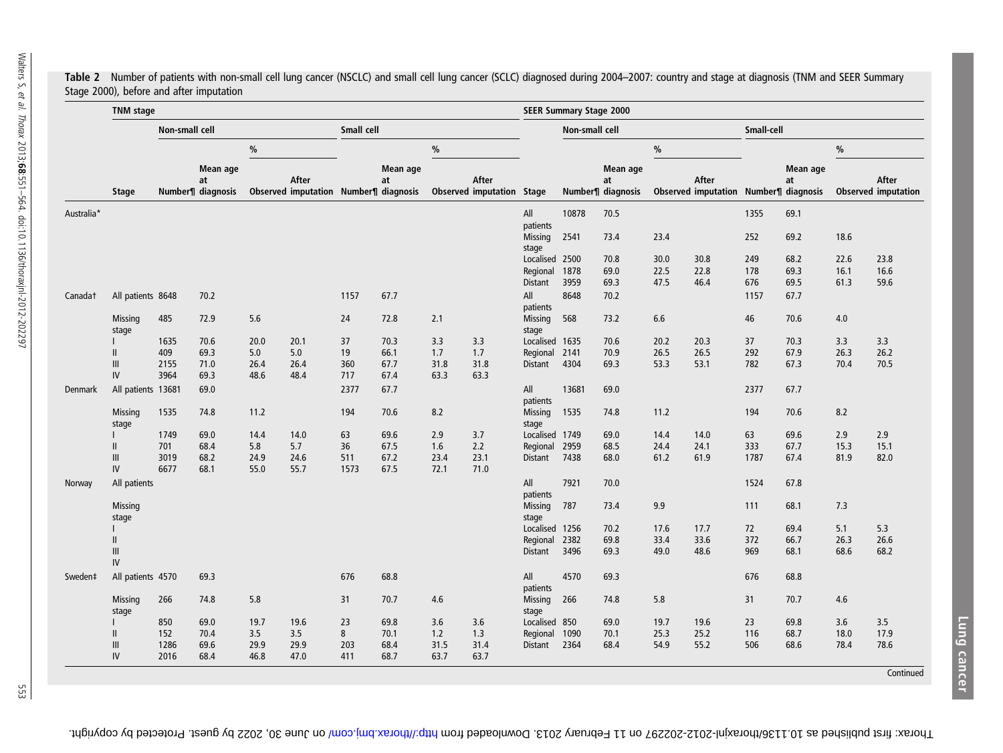#### Table 2 Number of patients with non-small cell lung cancer (NSCLC) and small cell lung cancer (SCLC) diagnosed during 2004–2007: country and stage at diagnosis (TNM and SEER Summary Stage 2000), before and after imputation

|            | <b>TNM</b> stage        |                |                |              |                                                                                            |             |                |              |              |                                            | <b>SEER Summary Stage 2000</b> |                      |                      |                                                                    |                   |                      |                      |                                     |
|------------|-------------------------|----------------|----------------|--------------|--------------------------------------------------------------------------------------------|-------------|----------------|--------------|--------------|--------------------------------------------|--------------------------------|----------------------|----------------------|--------------------------------------------------------------------|-------------------|----------------------|----------------------|-------------------------------------|
|            |                         | Non-small cell |                |              |                                                                                            | Small cell  |                |              |              |                                            | Non-small cell                 |                      |                      |                                                                    | Small-cell        |                      |                      |                                     |
|            |                         |                |                | $\%$         |                                                                                            |             |                | $\%$         |              |                                            |                                |                      | $\frac{0}{0}$        |                                                                    |                   |                      | $\frac{0}{0}$        |                                     |
|            | Stage                   |                | Mean age<br>at |              | After<br>Number¶ diagnosis Observed imputation Number¶ diagnosis Observed imputation Stage |             | Mean age<br>at |              | After        |                                            |                                | Mean age<br>at       |                      | After<br>Number¶ diagnosis  Observed imputation  Number¶ diagnosis |                   | Mean age<br>at       |                      | After<br><b>Observed imputation</b> |
| Australia* |                         |                |                |              |                                                                                            |             |                |              |              | $\mathsf{All}$<br>patients                 | 10878                          | 70.5                 |                      |                                                                    | 1355              | 69.1                 |                      |                                     |
|            |                         |                |                |              |                                                                                            |             |                |              |              | <b>Missing</b><br>stage                    | 2541                           | 73.4                 | 23.4                 |                                                                    | 252               | 69.2                 | 18.6                 |                                     |
|            |                         |                |                |              |                                                                                            |             |                |              |              | Localised 2500<br>Regional 1878<br>Distant | 3959                           | 70.8<br>69.0<br>69.3 | 30.0<br>22.5<br>47.5 | 30.8<br>22.8<br>46.4                                               | 249<br>178<br>676 | 68.2<br>69.3<br>69.5 | 22.6<br>16.1<br>61.3 | 23.8<br>16.6<br>59.6                |
| Canadat    | All patients 8648       |                | 70.2           |              |                                                                                            | 1157        | 67.7           |              |              | All<br>patients                            | 8648                           | 70.2                 |                      |                                                                    | 1157              | 67.7                 |                      |                                     |
|            | <b>Missing</b><br>stage | 485            | 72.9           | 5.6          |                                                                                            | 24          | 72.8           | 2.1          |              | Missing<br>stage                           | 568                            | 73.2                 | 6.6                  |                                                                    | 46                | 70.6                 | 4.0                  |                                     |
|            |                         | 1635           | 70.6           | 20.0         | 20.1                                                                                       | 37          | 70.3           | 3.3          | 3.3          | Localised 1635                             |                                | 70.6                 | 20.2                 | 20.3                                                               | 37                | 70.3                 | 3.3                  | 3.3                                 |
|            | $\mathbf{I}$            | 409            | 69.3           | 5.0          | 5.0                                                                                        | 19          | 66.1           | 1.7          | 1.7          | Regional 2141                              |                                | 70.9                 | 26.5                 | 26.5                                                               | 292               | 67.9                 | 26.3                 | 26.2                                |
|            | $\mathop{\text{III}}$   | 2155           | 71.0           | 26.4         | 26.4                                                                                       | 360         | 67.7           | 31.8         | 31.8         | Distant                                    | 4304                           | 69.3                 | 53.3                 | 53.1                                                               | 782               | 67.3                 | 70.4                 | 70.5                                |
|            | IV                      | 3964           | 69.3           | 48.6         | 48.4                                                                                       | 717         | 67.4           | 63.3         | 63.3         |                                            |                                |                      |                      |                                                                    |                   |                      |                      |                                     |
| Denmark    | All patients 13681      |                | 69.0           |              |                                                                                            | 2377        | 67.7           |              |              | All<br>patients                            | 13681                          | 69.0                 |                      |                                                                    | 2377              | 67.7                 |                      |                                     |
|            | <b>Missing</b><br>stage | 1535           | 74.8           | 11.2         |                                                                                            | 194         | 70.6           | 8.2          |              | Missing<br>stage                           | 1535                           | 74.8                 | 11.2                 |                                                                    | 194               | 70.6                 | 8.2                  |                                     |
|            |                         | 1749           | 69.0           | 14.4         | 14.0                                                                                       | 63          | 69.6           | 2.9          | 3.7          | Localised 1749                             |                                | 69.0                 | 14.4                 | 14.0                                                               | 63                | 69.6                 | 2.9                  | 2.9                                 |
|            | $\mathbf{I}$            | 701            | 68.4           | 5.8          | 5.7                                                                                        | 36          | 67.5           | 1.6          | 2.2          | Regional 2959                              |                                | 68.5                 | 24.4                 | 24.1                                                               | 333               | 67.7                 | 15.3                 | 15.1                                |
|            | $\mathbb{I}$<br>IV      | 3019<br>6677   | 68.2<br>68.1   | 24.9<br>55.0 | 24.6<br>55.7                                                                               | 511<br>1573 | 67.2<br>67.5   | 23.4<br>72.1 | 23.1<br>71.0 | Distant                                    | 7438                           | 68.0                 | 61.2                 | 61.9                                                               | 1787              | 67.4                 | 81.9                 | 82.0                                |
| Norway     | All patients            |                |                |              |                                                                                            |             |                |              |              | All<br>patients                            | 7921                           | 70.0                 |                      |                                                                    | 1524              | 67.8                 |                      |                                     |
|            | <b>Missing</b><br>stage |                |                |              |                                                                                            |             |                |              |              | Missing 787<br>stage                       |                                | 73.4                 | 9.9                  |                                                                    | 111               | 68.1                 | 7.3                  |                                     |
|            |                         |                |                |              |                                                                                            |             |                |              |              | Localised 1256                             |                                | 70.2                 | 17.6                 | 17.7                                                               | 72                | 69.4                 | 5.1                  | 5.3                                 |
|            | $\mathbf{I}$            |                |                |              |                                                                                            |             |                |              |              | Regional 2382                              |                                | 69.8                 | 33.4                 | 33.6                                                               | 372               | 66.7                 | 26.3                 | 26.6                                |
|            | Ш<br>IV                 |                |                |              |                                                                                            |             |                |              |              | Distant                                    | 3496                           | 69.3                 | 49.0                 | 48.6                                                               | 969               | 68.1                 | 68.6                 | 68.2                                |
| Sweden‡    | All patients 4570       |                | 69.3           |              |                                                                                            | 676         | 68.8           |              |              | All<br>patients                            | 4570                           | 69.3                 |                      |                                                                    | 676               | 68.8                 |                      |                                     |
|            | <b>Missing</b><br>stage | 266            | 74.8           | 5.8          |                                                                                            | 31          | 70.7           | 4.6          |              | Missing 266<br>stage                       |                                | 74.8                 | 5.8                  |                                                                    | 31                | 70.7                 | 4.6                  |                                     |
|            |                         | 850            | 69.0           | 19.7         | 19.6                                                                                       | 23          | 69.8           | 3.6          | 3.6          | Localised 850                              |                                | 69.0                 | 19.7                 | 19.6                                                               | 23                | 69.8                 | 3.6                  | 3.5                                 |
|            | H                       | 152            | 70.4           | 3.5          | 3.5                                                                                        | 8           | 70.1           | 1.2          | 1.3          | Regional 1090                              |                                | 70.1                 | 25.3                 | 25.2                                                               | 116               | 68.7                 | 18.0                 | 17.9                                |
|            | Ш<br>IV                 | 1286<br>2016   | 69.6<br>68.4   | 29.9<br>46.8 | 29.9<br>47.0                                                                               | 203<br>411  | 68.4<br>68.7   | 31.5<br>63.7 | 31.4<br>63.7 | Distant                                    | 2364                           | 68.4                 | 54.9                 | 55.2                                                               | 506               | 68.6                 | 78.4                 | 78.6                                |

553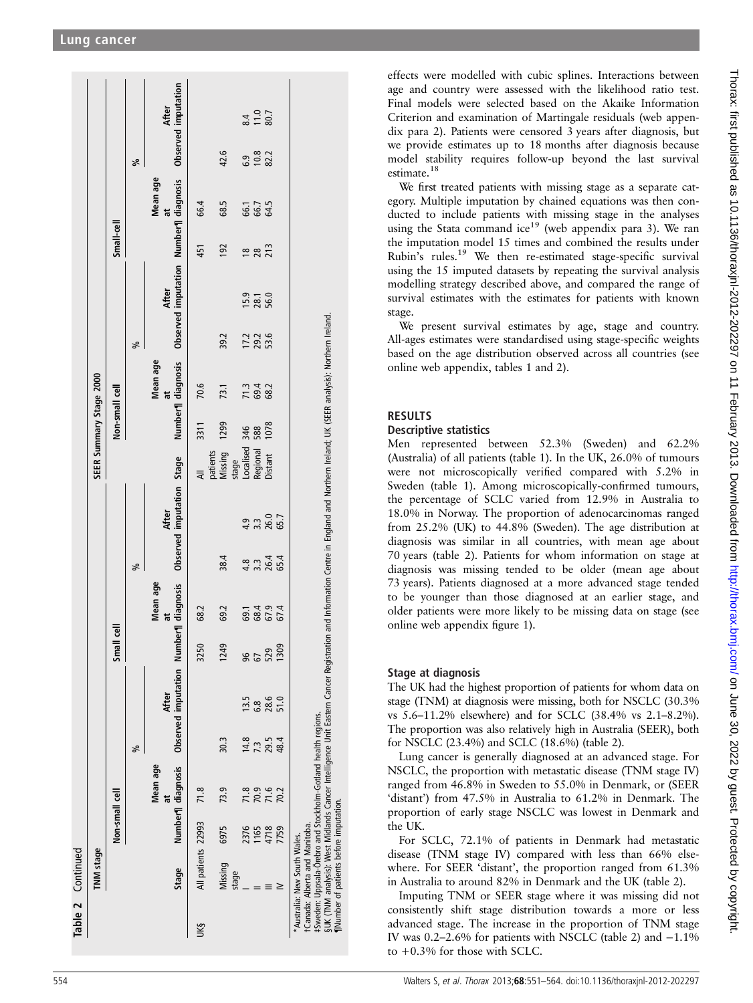| Observed imputation<br>After<br>8.4<br>11.0<br>80.7<br>42.6<br>6.9<br>10.8<br>82.2<br>వ్<br>Observed imputation Number¶ diagnosis<br>Mean age<br>66.4<br>68.5<br>66.1<br>66.7<br>64.5<br>ã<br>Small-cell<br>192<br>$\frac{8}{28}$<br>451<br>After<br>$15.9$<br>$28.1$<br>$56.0$<br>$\frac{2}{1}$<br>$\frac{2}{3}$<br>$\frac{3}{3}$<br>39.2<br>$\%$<br>Number¶ diagnosis<br>Mean age<br>70.6<br>713<br>694<br>682<br>73.1<br>Non-small cell<br>đ<br>1299<br>346<br>588<br>1078<br>3311<br>Localised<br>Regional<br>patients<br>Missing<br>Distant<br>Observed imputation Stage<br>stage<br>After<br>4 m N G<br>4 m N G<br>4 m N G<br>38.4<br>4 3 3 4 4<br>4 3 4 4<br>4 3 4 4<br>వ్<br>Number¶ diagnosis Observed imputation Number¶ diagnosis<br>Mean age<br>5<br>2<br>2<br>2<br>2<br>2<br>2<br>2<br>2<br>2<br>2<br>2<br>2<br>2<br>2<br>2<br><br>68.2<br>69.2<br>ನ<br>$\overline{e}$<br>Small<br>1249<br>3250<br>1309<br>529<br>96<br>5<br>After<br>13.5<br>28.6<br>51.0<br>$6.\overline{8}$<br>#Sweden: Uppsala-Örebro and Stockholm-Gotland health regions.<br>14.8<br>30.3<br>29.5<br>48.4<br>7.3<br>వ్<br>Mean age<br>71.8<br>73.9<br>71.8<br>70.9<br>71.6<br>70.2<br>Non-small cell<br>đ<br>All patients 22993<br>tCanada: Alberta and Manitoba.<br>6975<br>2376<br>1165<br>4718<br>7759<br>*Australia: New South Wales.<br>Missing<br>Stage<br>stage<br><b>UKS</b> | <b>TNM</b> stage                       |  |  |  |  | SEER Summary Stage 2000 |  |  |  |  |
|-------------------------------------------------------------------------------------------------------------------------------------------------------------------------------------------------------------------------------------------------------------------------------------------------------------------------------------------------------------------------------------------------------------------------------------------------------------------------------------------------------------------------------------------------------------------------------------------------------------------------------------------------------------------------------------------------------------------------------------------------------------------------------------------------------------------------------------------------------------------------------------------------------------------------------------------------------------------------------------------------------------------------------------------------------------------------------------------------------------------------------------------------------------------------------------------------------------------------------------------------------------------------------------------------------------------------------------------------------------------------|----------------------------------------|--|--|--|--|-------------------------|--|--|--|--|
|                                                                                                                                                                                                                                                                                                                                                                                                                                                                                                                                                                                                                                                                                                                                                                                                                                                                                                                                                                                                                                                                                                                                                                                                                                                                                                                                                                         |                                        |  |  |  |  |                         |  |  |  |  |
|                                                                                                                                                                                                                                                                                                                                                                                                                                                                                                                                                                                                                                                                                                                                                                                                                                                                                                                                                                                                                                                                                                                                                                                                                                                                                                                                                                         |                                        |  |  |  |  |                         |  |  |  |  |
|                                                                                                                                                                                                                                                                                                                                                                                                                                                                                                                                                                                                                                                                                                                                                                                                                                                                                                                                                                                                                                                                                                                                                                                                                                                                                                                                                                         |                                        |  |  |  |  |                         |  |  |  |  |
|                                                                                                                                                                                                                                                                                                                                                                                                                                                                                                                                                                                                                                                                                                                                                                                                                                                                                                                                                                                                                                                                                                                                                                                                                                                                                                                                                                         |                                        |  |  |  |  |                         |  |  |  |  |
|                                                                                                                                                                                                                                                                                                                                                                                                                                                                                                                                                                                                                                                                                                                                                                                                                                                                                                                                                                                                                                                                                                                                                                                                                                                                                                                                                                         |                                        |  |  |  |  |                         |  |  |  |  |
|                                                                                                                                                                                                                                                                                                                                                                                                                                                                                                                                                                                                                                                                                                                                                                                                                                                                                                                                                                                                                                                                                                                                                                                                                                                                                                                                                                         |                                        |  |  |  |  |                         |  |  |  |  |
|                                                                                                                                                                                                                                                                                                                                                                                                                                                                                                                                                                                                                                                                                                                                                                                                                                                                                                                                                                                                                                                                                                                                                                                                                                                                                                                                                                         |                                        |  |  |  |  |                         |  |  |  |  |
|                                                                                                                                                                                                                                                                                                                                                                                                                                                                                                                                                                                                                                                                                                                                                                                                                                                                                                                                                                                                                                                                                                                                                                                                                                                                                                                                                                         |                                        |  |  |  |  |                         |  |  |  |  |
|                                                                                                                                                                                                                                                                                                                                                                                                                                                                                                                                                                                                                                                                                                                                                                                                                                                                                                                                                                                                                                                                                                                                                                                                                                                                                                                                                                         |                                        |  |  |  |  |                         |  |  |  |  |
|                                                                                                                                                                                                                                                                                                                                                                                                                                                                                                                                                                                                                                                                                                                                                                                                                                                                                                                                                                                                                                                                                                                                                                                                                                                                                                                                                                         |                                        |  |  |  |  |                         |  |  |  |  |
|                                                                                                                                                                                                                                                                                                                                                                                                                                                                                                                                                                                                                                                                                                                                                                                                                                                                                                                                                                                                                                                                                                                                                                                                                                                                                                                                                                         |                                        |  |  |  |  |                         |  |  |  |  |
|                                                                                                                                                                                                                                                                                                                                                                                                                                                                                                                                                                                                                                                                                                                                                                                                                                                                                                                                                                                                                                                                                                                                                                                                                                                                                                                                                                         |                                        |  |  |  |  |                         |  |  |  |  |
|                                                                                                                                                                                                                                                                                                                                                                                                                                                                                                                                                                                                                                                                                                                                                                                                                                                                                                                                                                                                                                                                                                                                                                                                                                                                                                                                                                         |                                        |  |  |  |  |                         |  |  |  |  |
|                                                                                                                                                                                                                                                                                                                                                                                                                                                                                                                                                                                                                                                                                                                                                                                                                                                                                                                                                                                                                                                                                                                                                                                                                                                                                                                                                                         |                                        |  |  |  |  |                         |  |  |  |  |
|                                                                                                                                                                                                                                                                                                                                                                                                                                                                                                                                                                                                                                                                                                                                                                                                                                                                                                                                                                                                                                                                                                                                                                                                                                                                                                                                                                         | INumber of patients before imputation. |  |  |  |  |                         |  |  |  |  |

effects were modelled with cubic splines. Interactions between age and country were assessed with the likelihood ratio test. Final models were selected based on the Akaike Information Criterion and examination of Martingale residuals (web appendix para 2). Patients were censored 3 years after diagnosis, but we provide estimates up to 18 months after diagnosis because model stability requires follow-up beyond the last survival estimate.<sup>18</sup>

We first treated patients with missing stage as a separate category. Multiple imputation by chained equations was then conducted to include patients with missing stage in the analyses using the Stata command ice<sup>19</sup> (web appendix para 3). We ran the imputation model 15 times and combined the results under Rubin's rules.<sup>19</sup> We then re-estimated stage-specific survival using the 15 imputed datasets by repeating the survival analysis modelling strategy described above, and compared the range of survival estimates with the estimates for patients with known stage.

We present survival estimates by age, stage and country. All-ages estimates were standardised using stage-speci fic weights based on the age distribution observed across all countries (see online web appendix, tables 1 and 2).

# RESULTS

#### Descriptive statistics

Men represented between 52.3% (Sweden) and 62.2% (Australia) of all patients (table 1). In the UK, 26.0% of tumours were not microscopically veri fied compared with 5.2% in Sweden (table 1). Among microscopically-con firmed tumours, the percentage of SCLC varied from 12.9% in Australia to 18.0% in Norway. The proportion of adenocarcinomas ranged from 25.2% (UK) to 44.8% (Sweden). The age distribution at diagnosis was similar in all countries, with mean age about 70 years (table 2). Patients for whom information on stage at diagnosis was missing tended to be older (mean age about 73 years). Patients diagnosed at a more advanced stage tended to be younger than those diagnosed at an earlier stage, and older patients were more likely to be missing data on stage (see online web appendix figure 1).

#### Stage at diagnosis

The UK had the highest proportion of patients for whom data on stage (TNM) at diagnosis were missing, both for NSCLC (30.3% vs 5.6 –11.2% elsewhere) and for SCLC (38.4% vs 2.1 –8.2%). The proportion was also relatively high in Australia (SEER), both for NSCLC (23.4%) and SCLC (18.6%) (table 2).

Lung cancer is generally diagnosed at an advanced stage. For NSCLC, the proportion with metastatic disease (TNM stage IV) ranged from 46.8% in Sweden to 55.0% in Denmark, or (SEER 'distant') from 47.5% in Australia to 61.2% in Denmark. The proportion of early stage NSCLC was lowest in Denmark and the UK.

For SCLC, 72.1% of patients in Denmark had metastatic disease (TNM stage IV) compared with less than 66% elsewhere. For SEER 'distant', the proportion ranged from 61.3% in Australia to around 82% in Denmark and the UK (table 2).

Imputing TNM or SEER stage where it was missing did not consistently shift stage distribution towards a more or less advanced stage. The increase in the proportion of TNM stage IV was 0.2–2.6% for patients with NSCLC (table 2) and −1.1% to +0.3% for those with SCLC.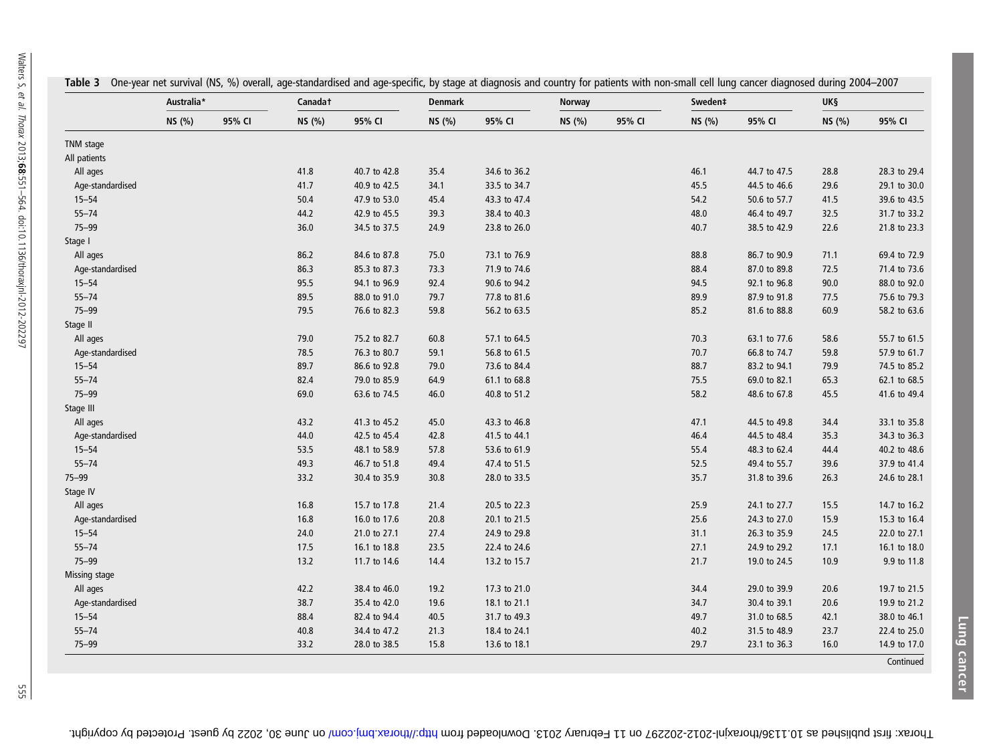|                  | Australia* |        | Canadat |              | <b>Denmark</b> |              | <b>Norway</b> |        | Sweden# |              | <b>UK§</b> |              |
|------------------|------------|--------|---------|--------------|----------------|--------------|---------------|--------|---------|--------------|------------|--------------|
|                  | NS (%)     | 95% CI | NS (%)  | 95% CI       | NS (%)         | 95% CI       | NS (%)        | 95% CI | NS (%)  | 95% CI       | NS (%)     | 95% CI       |
| TNM stage        |            |        |         |              |                |              |               |        |         |              |            |              |
| All patients     |            |        |         |              |                |              |               |        |         |              |            |              |
| All ages         |            |        | 41.8    | 40.7 to 42.8 | 35.4           | 34.6 to 36.2 |               |        | 46.1    | 44.7 to 47.5 | 28.8       | 28.3 to 29.4 |
| Age-standardised |            |        | 41.7    | 40.9 to 42.5 | 34.1           | 33.5 to 34.7 |               |        | 45.5    | 44.5 to 46.6 | 29.6       | 29.1 to 30.0 |
| $15 - 54$        |            |        | 50.4    | 47.9 to 53.0 | 45.4           | 43.3 to 47.4 |               |        | 54.2    | 50.6 to 57.7 | 41.5       | 39.6 to 43.5 |
| $55 - 74$        |            |        | 44.2    | 42.9 to 45.5 | 39.3           | 38.4 to 40.3 |               |        | 48.0    | 46.4 to 49.7 | 32.5       | 31.7 to 33.2 |
| 75-99            |            |        | 36.0    | 34.5 to 37.5 | 24.9           | 23.8 to 26.0 |               |        | 40.7    | 38.5 to 42.9 | 22.6       | 21.8 to 23.3 |
| Stage I          |            |        |         |              |                |              |               |        |         |              |            |              |
| All ages         |            |        | 86.2    | 84.6 to 87.8 | 75.0           | 73.1 to 76.9 |               |        | 88.8    | 86.7 to 90.9 | 71.1       | 69.4 to 72.9 |
| Age-standardised |            |        | 86.3    | 85.3 to 87.3 | 73.3           | 71.9 to 74.6 |               |        | 88.4    | 87.0 to 89.8 | 72.5       | 71.4 to 73.6 |
| $15 - 54$        |            |        | 95.5    | 94.1 to 96.9 | 92.4           | 90.6 to 94.2 |               |        | 94.5    | 92.1 to 96.8 | 90.0       | 88.0 to 92.0 |
| $55 - 74$        |            |        | 89.5    | 88.0 to 91.0 | 79.7           | 77.8 to 81.6 |               |        | 89.9    | 87.9 to 91.8 | 77.5       | 75.6 to 79.3 |
| 75-99            |            |        | 79.5    | 76.6 to 82.3 | 59.8           | 56.2 to 63.5 |               |        | 85.2    | 81.6 to 88.8 | 60.9       | 58.2 to 63.6 |
| Stage II         |            |        |         |              |                |              |               |        |         |              |            |              |
| All ages         |            |        | 79.0    | 75.2 to 82.7 | 60.8           | 57.1 to 64.5 |               |        | 70.3    | 63.1 to 77.6 | 58.6       | 55.7 to 61.5 |
| Age-standardised |            |        | 78.5    | 76.3 to 80.7 | 59.1           | 56.8 to 61.5 |               |        | 70.7    | 66.8 to 74.7 | 59.8       | 57.9 to 61.7 |
| $15 - 54$        |            |        | 89.7    | 86.6 to 92.8 | 79.0           | 73.6 to 84.4 |               |        | 88.7    | 83.2 to 94.1 | 79.9       | 74.5 to 85.2 |
| $55 - 74$        |            |        | 82.4    | 79.0 to 85.9 | 64.9           | 61.1 to 68.8 |               |        | 75.5    | 69.0 to 82.1 | 65.3       | 62.1 to 68.5 |
| 75-99            |            |        | 69.0    | 63.6 to 74.5 | 46.0           | 40.8 to 51.2 |               |        | 58.2    | 48.6 to 67.8 | 45.5       | 41.6 to 49.4 |
| Stage III        |            |        |         |              |                |              |               |        |         |              |            |              |
| All ages         |            |        | 43.2    | 41.3 to 45.2 | 45.0           | 43.3 to 46.8 |               |        | 47.1    | 44.5 to 49.8 | 34.4       | 33.1 to 35.8 |
| Age-standardised |            |        | 44.0    | 42.5 to 45.4 | 42.8           | 41.5 to 44.1 |               |        | 46.4    | 44.5 to 48.4 | 35.3       | 34.3 to 36.3 |
| $15 - 54$        |            |        | 53.5    | 48.1 to 58.9 | 57.8           | 53.6 to 61.9 |               |        | 55.4    | 48.3 to 62.4 | 44.4       | 40.2 to 48.6 |
| $55 - 74$        |            |        | 49.3    | 46.7 to 51.8 | 49.4           | 47.4 to 51.5 |               |        | 52.5    | 49.4 to 55.7 | 39.6       | 37.9 to 41.4 |
| $75 - 99$        |            |        | 33.2    | 30.4 to 35.9 | 30.8           | 28.0 to 33.5 |               |        | 35.7    | 31.8 to 39.6 | 26.3       | 24.6 to 28.1 |
| Stage IV         |            |        |         |              |                |              |               |        |         |              |            |              |
| All ages         |            |        | 16.8    | 15.7 to 17.8 | 21.4           | 20.5 to 22.3 |               |        | 25.9    | 24.1 to 27.7 | 15.5       | 14.7 to 16.2 |
| Age-standardised |            |        | 16.8    | 16.0 to 17.6 | 20.8           | 20.1 to 21.5 |               |        | 25.6    | 24.3 to 27.0 | 15.9       | 15.3 to 16.4 |
| $15 - 54$        |            |        | 24.0    | 21.0 to 27.1 | 27.4           | 24.9 to 29.8 |               |        | 31.1    | 26.3 to 35.9 | 24.5       | 22.0 to 27.1 |
| $55 - 74$        |            |        | 17.5    | 16.1 to 18.8 | 23.5           | 22.4 to 24.6 |               |        | 27.1    | 24.9 to 29.2 | 17.1       | 16.1 to 18.0 |
| 75-99            |            |        | 13.2    | 11.7 to 14.6 | 14.4           | 13.2 to 15.7 |               |        | 21.7    | 19.0 to 24.5 | 10.9       | 9.9 to 11.8  |
| Missing stage    |            |        |         |              |                |              |               |        |         |              |            |              |
| All ages         |            |        | 42.2    | 38.4 to 46.0 | 19.2           | 17.3 to 21.0 |               |        | 34.4    | 29.0 to 39.9 | 20.6       | 19.7 to 21.5 |
| Age-standardised |            |        | 38.7    | 35.4 to 42.0 | 19.6           | 18.1 to 21.1 |               |        | 34.7    | 30.4 to 39.1 | 20.6       | 19.9 to 21.2 |
| $15 - 54$        |            |        | 88.4    | 82.4 to 94.4 | 40.5           | 31.7 to 49.3 |               |        | 49.7    | 31.0 to 68.5 | 42.1       | 38.0 to 46.1 |
| $55 - 74$        |            |        | 40.8    | 34.4 to 47.2 | 21.3           | 18.4 to 24.1 |               |        | 40.2    | 31.5 to 48.9 | 23.7       | 22.4 to 25.0 |
| $75 - 99$        |            |        | 33.2    | 28.0 to 38.5 | 15.8           | 13.6 to 18.1 |               |        | 29.7    | 23.1 to 36.3 | 16.0       | 14.9 to 17.0 |

555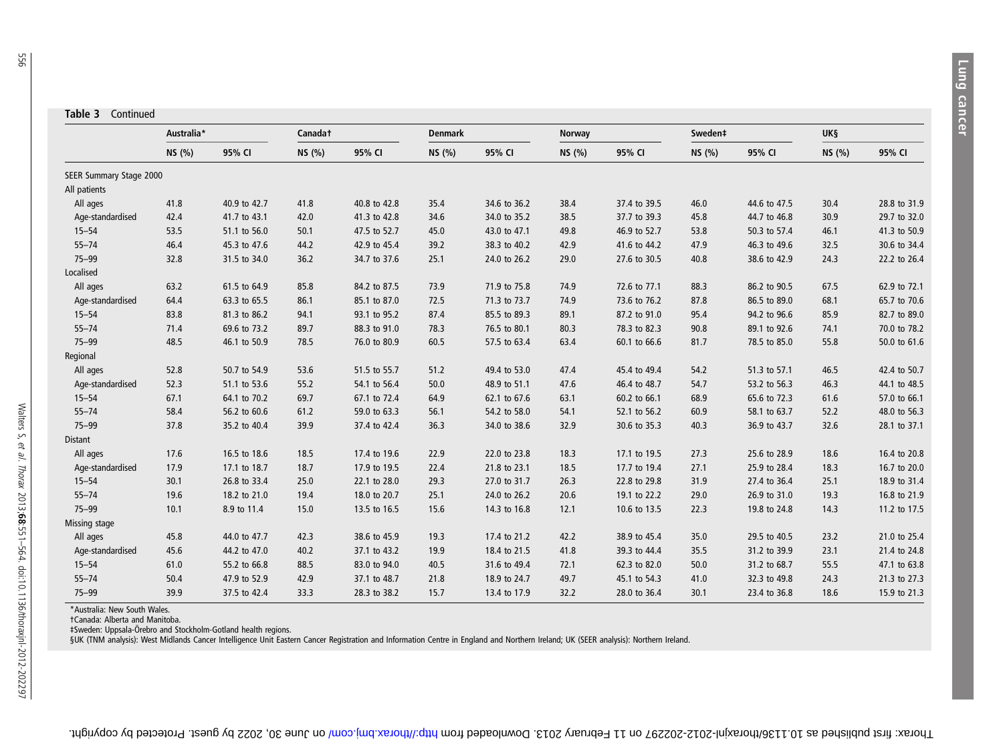|                         | Australia* |              | Canadat |              | <b>Denmark</b> |              | Norway |              | Sweden‡ |              | <b>UKS</b> |              |
|-------------------------|------------|--------------|---------|--------------|----------------|--------------|--------|--------------|---------|--------------|------------|--------------|
|                         | NS(%)      | 95% CI       | NS (%)  | 95% CI       | NS (%)         | 95% CI       | NS (%) | 95% CI       | NS (%)  | 95% CI       | NS (%)     | 95% CI       |
| SEER Summary Stage 2000 |            |              |         |              |                |              |        |              |         |              |            |              |
| All patients            |            |              |         |              |                |              |        |              |         |              |            |              |
| All ages                | 41.8       | 40.9 to 42.7 | 41.8    | 40.8 to 42.8 | 35.4           | 34.6 to 36.2 | 38.4   | 37.4 to 39.5 | 46.0    | 44.6 to 47.5 | 30.4       | 28.8 to 31.9 |
| Age-standardised        | 42.4       | 41.7 to 43.1 | 42.0    | 41.3 to 42.8 | 34.6           | 34.0 to 35.2 | 38.5   | 37.7 to 39.3 | 45.8    | 44.7 to 46.8 | 30.9       | 29.7 to 32.0 |
| $15 - 54$               | 53.5       | 51.1 to 56.0 | 50.1    | 47.5 to 52.7 | 45.0           | 43.0 to 47.1 | 49.8   | 46.9 to 52.7 | 53.8    | 50.3 to 57.4 | 46.1       | 41.3 to 50.9 |
| $55 - 74$               | 46.4       | 45.3 to 47.6 | 44.2    | 42.9 to 45.4 | 39.2           | 38.3 to 40.2 | 42.9   | 41.6 to 44.2 | 47.9    | 46.3 to 49.6 | 32.5       | 30.6 to 34.4 |
| $75 - 99$               | 32.8       | 31.5 to 34.0 | 36.2    | 34.7 to 37.6 | 25.1           | 24.0 to 26.2 | 29.0   | 27.6 to 30.5 | 40.8    | 38.6 to 42.9 | 24.3       | 22.2 to 26.4 |
| Localised               |            |              |         |              |                |              |        |              |         |              |            |              |
| All ages                | 63.2       | 61.5 to 64.9 | 85.8    | 84.2 to 87.5 | 73.9           | 71.9 to 75.8 | 74.9   | 72.6 to 77.1 | 88.3    | 86.2 to 90.5 | 67.5       | 62.9 to 72.1 |
| Age-standardised        | 64.4       | 63.3 to 65.5 | 86.1    | 85.1 to 87.0 | 72.5           | 71.3 to 73.7 | 74.9   | 73.6 to 76.2 | 87.8    | 86.5 to 89.0 | 68.1       | 65.7 to 70.6 |
| $15 - 54$               | 83.8       | 81.3 to 86.2 | 94.1    | 93.1 to 95.2 | 87.4           | 85.5 to 89.3 | 89.1   | 87.2 to 91.0 | 95.4    | 94.2 to 96.6 | 85.9       | 82.7 to 89.0 |
| $55 - 74$               | 71.4       | 69.6 to 73.2 | 89.7    | 88.3 to 91.0 | 78.3           | 76.5 to 80.1 | 80.3   | 78.3 to 82.3 | 90.8    | 89.1 to 92.6 | 74.1       | 70.0 to 78.2 |
| $75 - 99$               | 48.5       | 46.1 to 50.9 | 78.5    | 76.0 to 80.9 | 60.5           | 57.5 to 63.4 | 63.4   | 60.1 to 66.6 | 81.7    | 78.5 to 85.0 | 55.8       | 50.0 to 61.6 |
| Regional                |            |              |         |              |                |              |        |              |         |              |            |              |
| All ages                | 52.8       | 50.7 to 54.9 | 53.6    | 51.5 to 55.7 | 51.2           | 49.4 to 53.0 | 47.4   | 45.4 to 49.4 | 54.2    | 51.3 to 57.1 | 46.5       | 42.4 to 50.7 |
| Age-standardised        | 52.3       | 51.1 to 53.6 | 55.2    | 54.1 to 56.4 | 50.0           | 48.9 to 51.1 | 47.6   | 46.4 to 48.7 | 54.7    | 53.2 to 56.3 | 46.3       | 44.1 to 48.5 |
| $15 - 54$               | 67.1       | 64.1 to 70.2 | 69.7    | 67.1 to 72.4 | 64.9           | 62.1 to 67.6 | 63.1   | 60.2 to 66.1 | 68.9    | 65.6 to 72.3 | 61.6       | 57.0 to 66.1 |
| $55 - 74$               | 58.4       | 56.2 to 60.6 | 61.2    | 59.0 to 63.3 | 56.1           | 54.2 to 58.0 | 54.1   | 52.1 to 56.2 | 60.9    | 58.1 to 63.7 | 52.2       | 48.0 to 56.3 |
| $75 - 99$               | 37.8       | 35.2 to 40.4 | 39.9    | 37.4 to 42.4 | 36.3           | 34.0 to 38.6 | 32.9   | 30.6 to 35.3 | 40.3    | 36.9 to 43.7 | 32.6       | 28.1 to 37.1 |
| <b>Distant</b>          |            |              |         |              |                |              |        |              |         |              |            |              |
| All ages                | 17.6       | 16.5 to 18.6 | 18.5    | 17.4 to 19.6 | 22.9           | 22.0 to 23.8 | 18.3   | 17.1 to 19.5 | 27.3    | 25.6 to 28.9 | 18.6       | 16.4 to 20.8 |
| Age-standardised        | 17.9       | 17.1 to 18.7 | 18.7    | 17.9 to 19.5 | 22.4           | 21.8 to 23.1 | 18.5   | 17.7 to 19.4 | 27.1    | 25.9 to 28.4 | 18.3       | 16.7 to 20.0 |
| $15 - 54$               | 30.1       | 26.8 to 33.4 | 25.0    | 22.1 to 28.0 | 29.3           | 27.0 to 31.7 | 26.3   | 22.8 to 29.8 | 31.9    | 27.4 to 36.4 | 25.1       | 18.9 to 31.4 |
| $55 - 74$               | 19.6       | 18.2 to 21.0 | 19.4    | 18.0 to 20.7 | 25.1           | 24.0 to 26.2 | 20.6   | 19.1 to 22.2 | 29.0    | 26.9 to 31.0 | 19.3       | 16.8 to 21.9 |
| $75 - 99$               | 10.1       | 8.9 to 11.4  | 15.0    | 13.5 to 16.5 | 15.6           | 14.3 to 16.8 | 12.1   | 10.6 to 13.5 | 22.3    | 19.8 to 24.8 | 14.3       | 11.2 to 17.5 |
| Missing stage           |            |              |         |              |                |              |        |              |         |              |            |              |
| All ages                | 45.8       | 44.0 to 47.7 | 42.3    | 38.6 to 45.9 | 19.3           | 17.4 to 21.2 | 42.2   | 38.9 to 45.4 | 35.0    | 29.5 to 40.5 | 23.2       | 21.0 to 25.4 |
| Age-standardised        | 45.6       | 44.2 to 47.0 | 40.2    | 37.1 to 43.2 | 19.9           | 18.4 to 21.5 | 41.8   | 39.3 to 44.4 | 35.5    | 31.2 to 39.9 | 23.1       | 21.4 to 24.8 |
| $15 - 54$               | 61.0       | 55.2 to 66.8 | 88.5    | 83.0 to 94.0 | 40.5           | 31.6 to 49.4 | 72.1   | 62.3 to 82.0 | 50.0    | 31.2 to 68.7 | 55.5       | 47.1 to 63.8 |
| $55 - 74$               | 50.4       | 47.9 to 52.9 | 42.9    | 37.1 to 48.7 | 21.8           | 18.9 to 24.7 | 49.7   | 45.1 to 54.3 | 41.0    | 32.3 to 49.8 | 24.3       | 21.3 to 27.3 |
| $75 - 99$               | 39.9       | 37.5 to 42.4 | 33.3    | 28.3 to 38.2 | 15.7           | 13.4 to 17.9 | 32.2   | 28.0 to 36.4 | 30.1    | 23.4 to 36.8 | 18.6       | 15.9 to 21.3 |

\*Australia: New South Wales.

†Canada: Alberta and Manitoba. ‡Sweden: Uppsala-Örebro and Stockholm-Gotland health regions.

§UK (TNM analysis): West Midlands Cancer Intelligence Unit Eastern Cancer Registration and Information Centre in England and Northern Ireland; UK (SEER analysis): Northern Ireland.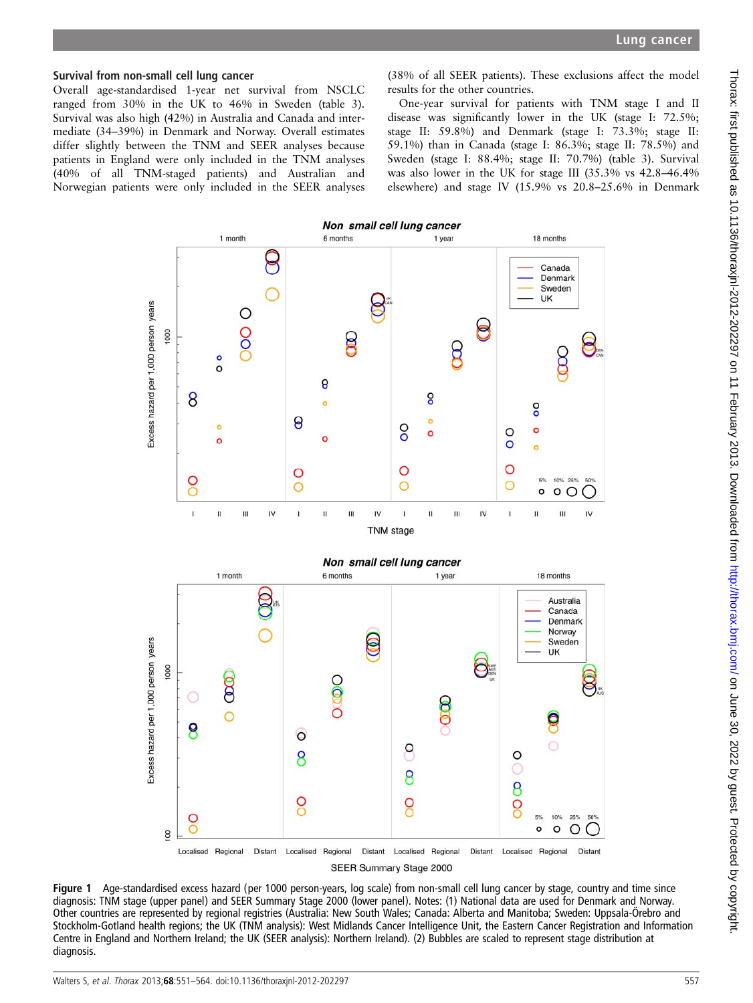Overall age-standardised 1-year net survival from NSCLC ranged from 30% in the UK to 46% in Sweden (table 3). Survival was also high (42%) in Australia and Canada and intermediate (34–39%) in Denmark and Norway. Overall estimates differ slightly between the TNM and SEER analyses because patients in England were only included in the TNM analyses (40% of all TNM-staged patients) and Australian and Norwegian patients were only included in the SEER analyses

(38% of all SEER patients). These exclusions affect the model results for the other countries.

One-year survival for patients with TNM stage I and II disease was significantly lower in the UK (stage I: 72.5%; stage II: 59.8%) and Denmark (stage I: 73.3%; stage II: 59.1%) than in Canada (stage I: 86.3%; stage II: 78.5%) and Sweden (stage I: 88.4%; stage II: 70.7%) (table 3). Survival was also lower in the UK for stage III (35.3% vs 42.8–46.4% elsewhere) and stage IV (15.9% vs 20.8–25.6% in Denmark



Figure 1 Age-standardised excess hazard (per 1000 person-years, log scale) from non-small cell lung cancer by stage, country and time since diagnosis: TNM stage (upper panel) and SEER Summary Stage 2000 (lower panel). Notes: (1) National data are used for Denmark and Norway. Other countries are represented by regional registries (Australia: New South Wales; Canada: Alberta and Manitoba; Sweden: Uppsala-Örebro and Stockholm-Gotland health regions; the UK (TNM analysis): West Midlands Cancer Intelligence Unit, the Eastern Cancer Registration and Information Centre in England and Northern Ireland; the UK (SEER analysis): Northern Ireland). (2) Bubbles are scaled to represent stage distribution at diagnosis.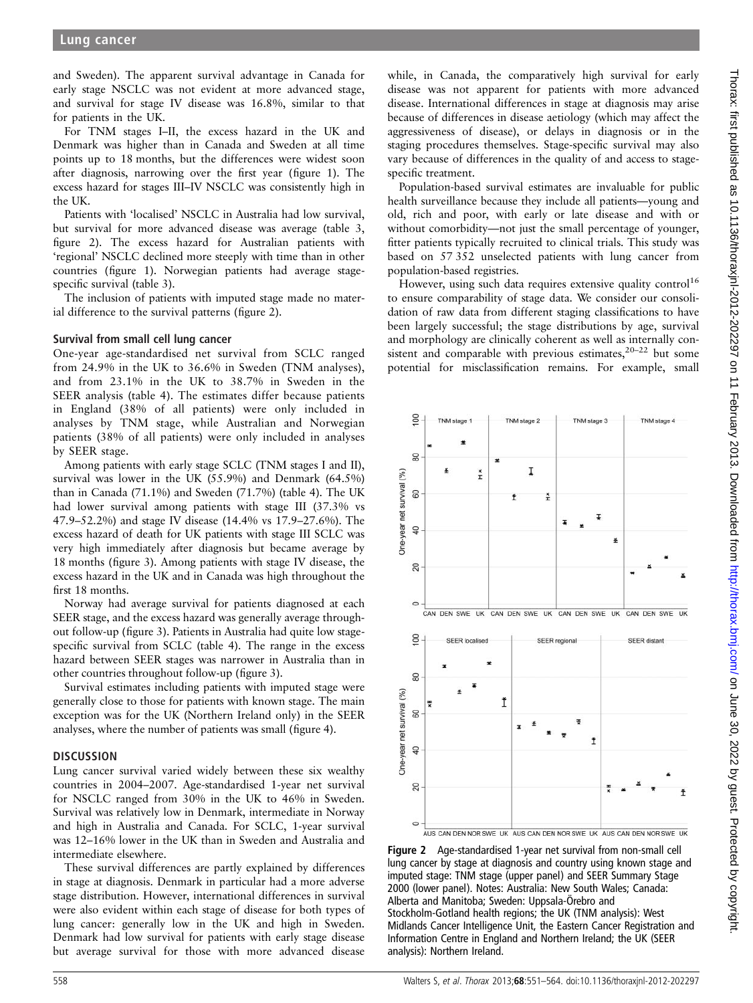and Sweden). The apparent survival advantage in Canada for early stage NSCLC was not evident at more advanced stage, and survival for stage IV disease was 16.8%, similar to that for patients in the UK.

For TNM stages I–II, the excess hazard in the UK and Denmark was higher than in Canada and Sweden at all time points up to 18 months, but the differences were widest soon after diagnosis, narrowing over the first year (figure 1). The excess hazard for stages III–IV NSCLC was consistently high in the UK.

Patients with 'localised' NSCLC in Australia had low survival, but survival for more advanced disease was average (table 3, figure 2). The excess hazard for Australian patients with 'regional' NSCLC declined more steeply with time than in other countries (figure 1). Norwegian patients had average stagespecific survival (table 3).

The inclusion of patients with imputed stage made no material difference to the survival patterns (figure 2).

#### Survival from small cell lung cancer

One-year age-standardised net survival from SCLC ranged from 24.9% in the UK to 36.6% in Sweden (TNM analyses), and from 23.1% in the UK to 38.7% in Sweden in the SEER analysis (table 4). The estimates differ because patients in England (38% of all patients) were only included in analyses by TNM stage, while Australian and Norwegian patients (38% of all patients) were only included in analyses by SEER stage.

Among patients with early stage SCLC (TNM stages I and II), survival was lower in the UK (55.9%) and Denmark (64.5%) than in Canada (71.1%) and Sweden (71.7%) (table 4). The UK had lower survival among patients with stage III (37.3% vs 47.9–52.2%) and stage IV disease (14.4% vs 17.9–27.6%). The excess hazard of death for UK patients with stage III SCLC was very high immediately after diagnosis but became average by 18 months (figure 3). Among patients with stage IV disease, the excess hazard in the UK and in Canada was high throughout the first 18 months.

Norway had average survival for patients diagnosed at each SEER stage, and the excess hazard was generally average throughout follow-up (figure 3). Patients in Australia had quite low stagespecific survival from SCLC (table 4). The range in the excess hazard between SEER stages was narrower in Australia than in other countries throughout follow-up (figure 3).

Survival estimates including patients with imputed stage were generally close to those for patients with known stage. The main exception was for the UK (Northern Ireland only) in the SEER analyses, where the number of patients was small (figure 4).

#### **DISCUSSION**

Lung cancer survival varied widely between these six wealthy countries in 2004–2007. Age-standardised 1-year net survival for NSCLC ranged from 30% in the UK to 46% in Sweden. Survival was relatively low in Denmark, intermediate in Norway and high in Australia and Canada. For SCLC, 1-year survival was 12–16% lower in the UK than in Sweden and Australia and intermediate elsewhere.

These survival differences are partly explained by differences in stage at diagnosis. Denmark in particular had a more adverse stage distribution. However, international differences in survival were also evident within each stage of disease for both types of lung cancer: generally low in the UK and high in Sweden. Denmark had low survival for patients with early stage disease but average survival for those with more advanced disease

while, in Canada, the comparatively high survival for early disease was not apparent for patients with more advanced disease. International differences in stage at diagnosis may arise because of differences in disease aetiology (which may affect the aggressiveness of disease), or delays in diagnosis or in the staging procedures themselves. Stage-specific survival may also vary because of differences in the quality of and access to stagespecific treatment.

Population-based survival estimates are invaluable for public health surveillance because they include all patients—young and old, rich and poor, with early or late disease and with or without comorbidity—not just the small percentage of younger, fitter patients typically recruited to clinical trials. This study was based on 57 352 unselected patients with lung cancer from population-based registries.

However, using such data requires extensive quality control<sup>16</sup> to ensure comparability of stage data. We consider our consolidation of raw data from different staging classifications to have been largely successful; the stage distributions by age, survival and morphology are clinically coherent as well as internally consistent and comparable with previous estimates,  $20-22$  but some potential for misclassification remains. For example, small



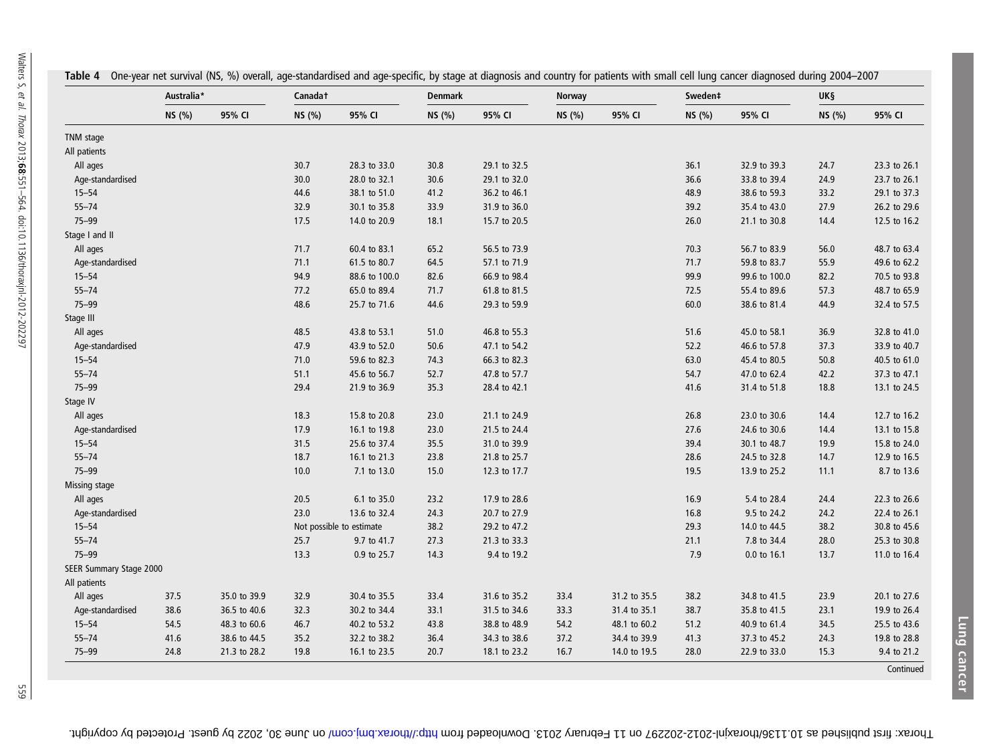|                         | Australia* |              | Canadat |                          | <b>Denmark</b> |              | Norway |              | Sweden# |               | UK§    |              |
|-------------------------|------------|--------------|---------|--------------------------|----------------|--------------|--------|--------------|---------|---------------|--------|--------------|
|                         | NS (%)     | 95% CI       | NS (%)  | 95% CI                   | NS (%)         | 95% CI       | NS (%) | 95% CI       | NS (%)  | 95% CI        | NS (%) | 95% CI       |
| TNM stage               |            |              |         |                          |                |              |        |              |         |               |        |              |
| All patients            |            |              |         |                          |                |              |        |              |         |               |        |              |
| All ages                |            |              | 30.7    | 28.3 to 33.0             | 30.8           | 29.1 to 32.5 |        |              | 36.1    | 32.9 to 39.3  | 24.7   | 23.3 to 26.1 |
| Age-standardised        |            |              | 30.0    | 28.0 to 32.1             | 30.6           | 29.1 to 32.0 |        |              | 36.6    | 33.8 to 39.4  | 24.9   | 23.7 to 26.1 |
| $15 - 54$               |            |              | 44.6    | 38.1 to 51.0             | 41.2           | 36.2 to 46.1 |        |              | 48.9    | 38.6 to 59.3  | 33.2   | 29.1 to 37.3 |
| $55 - 74$               |            |              | 32.9    | 30.1 to 35.8             | 33.9           | 31.9 to 36.0 |        |              | 39.2    | 35.4 to 43.0  | 27.9   | 26.2 to 29.6 |
| 75-99                   |            |              | 17.5    | 14.0 to 20.9             | 18.1           | 15.7 to 20.5 |        |              | 26.0    | 21.1 to 30.8  | 14.4   | 12.5 to 16.2 |
| Stage I and II          |            |              |         |                          |                |              |        |              |         |               |        |              |
| All ages                |            |              | 71.7    | 60.4 to 83.1             | 65.2           | 56.5 to 73.9 |        |              | 70.3    | 56.7 to 83.9  | $56.0$ | 48.7 to 63.4 |
| Age-standardised        |            |              | 71.1    | 61.5 to 80.7             | 64.5           | 57.1 to 71.9 |        |              | 71.7    | 59.8 to 83.7  | 55.9   | 49.6 to 62.2 |
| $15 - 54$               |            |              | 94.9    | 88.6 to 100.0            | 82.6           | 66.9 to 98.4 |        |              | 99.9    | 99.6 to 100.0 | 82.2   | 70.5 to 93.8 |
| $55 - 74$               |            |              | 77.2    | 65.0 to 89.4             | 71.7           | 61.8 to 81.5 |        |              | 72.5    | 55.4 to 89.6  | 57.3   | 48.7 to 65.9 |
| $75 - 99$               |            |              | 48.6    | 25.7 to 71.6             | 44.6           | 29.3 to 59.9 |        |              | 60.0    | 38.6 to 81.4  | 44.9   | 32.4 to 57.5 |
| Stage III               |            |              |         |                          |                |              |        |              |         |               |        |              |
| All ages                |            |              | 48.5    | 43.8 to 53.1             | 51.0           | 46.8 to 55.3 |        |              | 51.6    | 45.0 to 58.1  | 36.9   | 32.8 to 41.0 |
| Age-standardised        |            |              | 47.9    | 43.9 to 52.0             | 50.6           | 47.1 to 54.2 |        |              | 52.2    | 46.6 to 57.8  | 37.3   | 33.9 to 40.7 |
| $15 - 54$               |            |              | 71.0    | 59.6 to 82.3             | 74.3           | 66.3 to 82.3 |        |              | 63.0    | 45.4 to 80.5  | 50.8   | 40.5 to 61.0 |
| $55 - 74$               |            |              | 51.1    | 45.6 to 56.7             | 52.7           | 47.8 to 57.7 |        |              | 54.7    | 47.0 to 62.4  | 42.2   | 37.3 to 47.1 |
| 75-99                   |            |              | 29.4    | 21.9 to 36.9             | 35.3           | 28.4 to 42.1 |        |              | 41.6    | 31.4 to 51.8  | 18.8   | 13.1 to 24.5 |
| Stage IV                |            |              |         |                          |                |              |        |              |         |               |        |              |
| All ages                |            |              | 18.3    | 15.8 to 20.8             | 23.0           | 21.1 to 24.9 |        |              | 26.8    | 23.0 to 30.6  | 14.4   | 12.7 to 16.2 |
| Age-standardised        |            |              | 17.9    | 16.1 to 19.8             | 23.0           | 21.5 to 24.4 |        |              | 27.6    | 24.6 to 30.6  | 14.4   | 13.1 to 15.8 |
| $15 - 54$               |            |              | 31.5    | 25.6 to 37.4             | 35.5           | 31.0 to 39.9 |        |              | 39.4    | 30.1 to 48.7  | 19.9   | 15.8 to 24.0 |
| $55 - 74$               |            |              | 18.7    | 16.1 to 21.3             | 23.8           | 21.8 to 25.7 |        |              | 28.6    | 24.5 to 32.8  | 14.7   | 12.9 to 16.5 |
| $75 - 99$               |            |              | 10.0    | 7.1 to 13.0              | 15.0           | 12.3 to 17.7 |        |              | 19.5    | 13.9 to 25.2  | 11.1   | 8.7 to 13.6  |
| Missing stage           |            |              |         |                          |                |              |        |              |         |               |        |              |
| All ages                |            |              | 20.5    | 6.1 to 35.0              | 23.2           | 17.9 to 28.6 |        |              | 16.9    | 5.4 to 28.4   | 24.4   | 22.3 to 26.6 |
| Age-standardised        |            |              | 23.0    | 13.6 to 32.4             | 24.3           | 20.7 to 27.9 |        |              | 16.8    | 9.5 to 24.2   | 24.2   | 22.4 to 26.1 |
| $15 - 54$               |            |              |         | Not possible to estimate | 38.2           | 29.2 to 47.2 |        |              | 29.3    | 14.0 to 44.5  | 38.2   | 30.8 to 45.6 |
| $55 - 74$               |            |              | 25.7    | 9.7 to 41.7              | 27.3           | 21.3 to 33.3 |        |              | 21.1    | 7.8 to 34.4   | 28.0   | 25.3 to 30.8 |
| $75 - 99$               |            |              | 13.3    | 0.9 to 25.7              | 14.3           | 9.4 to 19.2  |        |              | 7.9     | 0.0 to 16.1   | 13.7   | 11.0 to 16.4 |
| SEER Summary Stage 2000 |            |              |         |                          |                |              |        |              |         |               |        |              |
| All patients            |            |              |         |                          |                |              |        |              |         |               |        |              |
| All ages                | 37.5       | 35.0 to 39.9 | 32.9    | 30.4 to 35.5             | 33.4           | 31.6 to 35.2 | 33.4   | 31.2 to 35.5 | 38.2    | 34.8 to 41.5  | 23.9   | 20.1 to 27.6 |
| Age-standardised        | 38.6       | 36.5 to 40.6 | 32.3    | 30.2 to 34.4             | 33.1           | 31.5 to 34.6 | 33.3   | 31.4 to 35.1 | 38.7    | 35.8 to 41.5  | 23.1   | 19.9 to 26.4 |
| $15 - 54$               | 54.5       | 48.3 to 60.6 | 46.7    | 40.2 to 53.2             | 43.8           | 38.8 to 48.9 | 54.2   | 48.1 to 60.2 | 51.2    | 40.9 to 61.4  | 34.5   | 25.5 to 43.6 |
| $55 - 74$               | 41.6       | 38.6 to 44.5 | 35.2    | 32.2 to 38.2             | 36.4           | 34.3 to 38.6 | 37.2   | 34.4 to 39.9 | 41.3    | 37.3 to 45.2  | 24.3   | 19.8 to 28.8 |
| 75-99                   | 24.8       | 21.3 to 28.2 | 19.8    | 16.1 to 23.5             | 20.7           | 18.1 to 23.2 | 16.7   | 14.0 to 19.5 | 28.0    | 22.9 to 33.0  | 15.3   | 9.4 to 21.2  |

559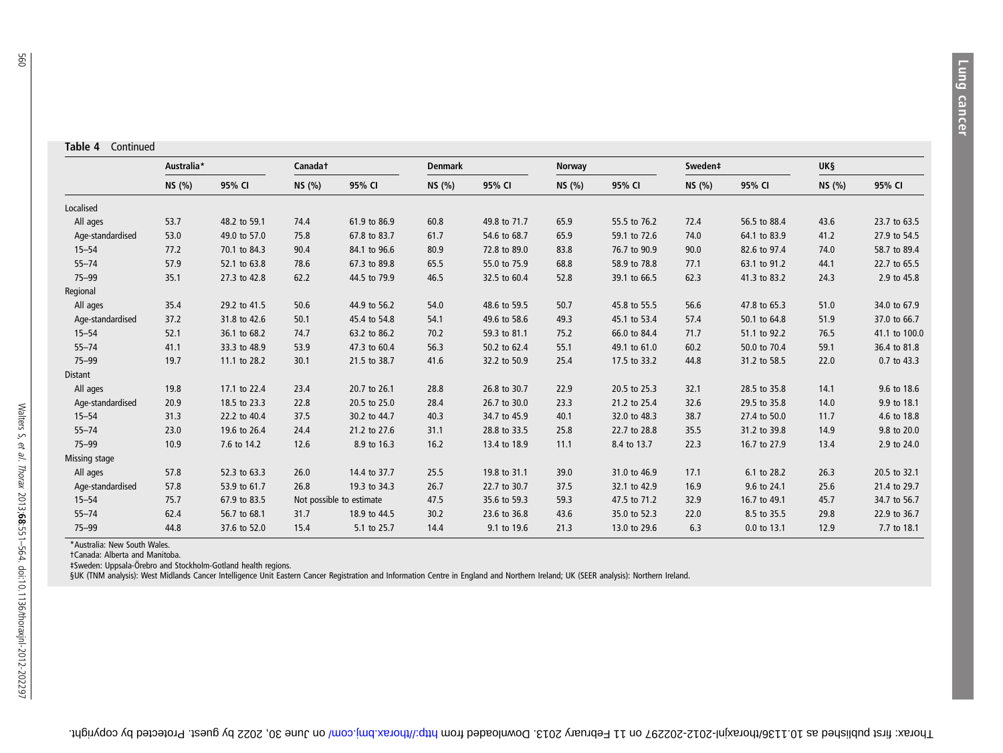Table 4 Continued

|                  | Australia* |              | Canadat |                          | <b>Denmark</b> |              | Norway |              | Sweden# |              | <b>UKS</b> |               |
|------------------|------------|--------------|---------|--------------------------|----------------|--------------|--------|--------------|---------|--------------|------------|---------------|
|                  | NS (%)     | 95% CI       | NS (%)  | 95% CI                   | NS (%)         | 95% CI       | NS (%) | 95% CI       | NS (%)  | 95% CI       | NS (%)     | 95% CI        |
| Localised        |            |              |         |                          |                |              |        |              |         |              |            |               |
| All ages         | 53.7       | 48.2 to 59.1 | 74.4    | 61.9 to 86.9             | 60.8           | 49.8 to 71.7 | 65.9   | 55.5 to 76.2 | 72.4    | 56.5 to 88.4 | 43.6       | 23.7 to 63.5  |
| Age-standardised | 53.0       | 49.0 to 57.0 | 75.8    | 67.8 to 83.7             | 61.7           | 54.6 to 68.7 | 65.9   | 59.1 to 72.6 | 74.0    | 64.1 to 83.9 | 41.2       | 27.9 to 54.5  |
| $15 - 54$        | 77.2       | 70.1 to 84.3 | 90.4    | 84.1 to 96.6             | 80.9           | 72.8 to 89.0 | 83.8   | 76.7 to 90.9 | 90.0    | 82.6 to 97.4 | 74.0       | 58.7 to 89.4  |
| $55 - 74$        | 57.9       | 52.1 to 63.8 | 78.6    | 67.3 to 89.8             | 65.5           | 55.0 to 75.9 | 68.8   | 58.9 to 78.8 | 77.1    | 63.1 to 91.2 | 44.1       | 22.7 to 65.5  |
| $75 - 99$        | 35.1       | 27.3 to 42.8 | 62.2    | 44.5 to 79.9             | 46.5           | 32.5 to 60.4 | 52.8   | 39.1 to 66.5 | 62.3    | 41.3 to 83.2 | 24.3       | 2.9 to 45.8   |
| Regional         |            |              |         |                          |                |              |        |              |         |              |            |               |
| All ages         | 35.4       | 29.2 to 41.5 | 50.6    | 44.9 to 56.2             | 54.0           | 48.6 to 59.5 | 50.7   | 45.8 to 55.5 | 56.6    | 47.8 to 65.3 | 51.0       | 34.0 to 67.9  |
| Age-standardised | 37.2       | 31.8 to 42.6 | 50.1    | 45.4 to 54.8             | 54.1           | 49.6 to 58.6 | 49.3   | 45.1 to 53.4 | 57.4    | 50.1 to 64.8 | 51.9       | 37.0 to 66.7  |
| $15 - 54$        | 52.1       | 36.1 to 68.2 | 74.7    | 63.2 to 86.2             | 70.2           | 59.3 to 81.1 | 75.2   | 66.0 to 84.4 | 71.7    | 51.1 to 92.2 | 76.5       | 41.1 to 100.0 |
| $55 - 74$        | 41.1       | 33.3 to 48.9 | 53.9    | 47.3 to 60.4             | 56.3           | 50.2 to 62.4 | 55.1   | 49.1 to 61.0 | 60.2    | 50.0 to 70.4 | 59.1       | 36.4 to 81.8  |
| $75 - 99$        | 19.7       | 11.1 to 28.2 | 30.1    | 21.5 to 38.7             | 41.6           | 32.2 to 50.9 | 25.4   | 17.5 to 33.2 | 44.8    | 31.2 to 58.5 | 22.0       | 0.7 to 43.3   |
| <b>Distant</b>   |            |              |         |                          |                |              |        |              |         |              |            |               |
| All ages         | 19.8       | 17.1 to 22.4 | 23.4    | 20.7 to 26.1             | 28.8           | 26.8 to 30.7 | 22.9   | 20.5 to 25.3 | 32.1    | 28.5 to 35.8 | 14.1       | 9.6 to 18.6   |
| Age-standardised | 20.9       | 18.5 to 23.3 | 22.8    | 20.5 to 25.0             | 28.4           | 26.7 to 30.0 | 23.3   | 21.2 to 25.4 | 32.6    | 29.5 to 35.8 | 14.0       | 9.9 to 18.1   |
| $15 - 54$        | 31.3       | 22.2 to 40.4 | 37.5    | 30.2 to 44.7             | 40.3           | 34.7 to 45.9 | 40.1   | 32.0 to 48.3 | 38.7    | 27.4 to 50.0 | 11.7       | 4.6 to 18.8   |
| $55 - 74$        | 23.0       | 19.6 to 26.4 | 24.4    | 21.2 to 27.6             | 31.1           | 28.8 to 33.5 | 25.8   | 22.7 to 28.8 | 35.5    | 31.2 to 39.8 | 14.9       | 9.8 to 20.0   |
| $75 - 99$        | 10.9       | 7.6 to 14.2  | 12.6    | 8.9 to 16.3              | 16.2           | 13.4 to 18.9 | 11.1   | 8.4 to 13.7  | 22.3    | 16.7 to 27.9 | 13.4       | 2.9 to 24.0   |
| Missing stage    |            |              |         |                          |                |              |        |              |         |              |            |               |
| All ages         | 57.8       | 52.3 to 63.3 | 26.0    | 14.4 to 37.7             | 25.5           | 19.8 to 31.1 | 39.0   | 31.0 to 46.9 | 17.1    | 6.1 to 28.2  | 26.3       | 20.5 to 32.1  |
| Age-standardised | 57.8       | 53.9 to 61.7 | 26.8    | 19.3 to 34.3             | 26.7           | 22.7 to 30.7 | 37.5   | 32.1 to 42.9 | 16.9    | 9.6 to 24.1  | 25.6       | 21.4 to 29.7  |
| $15 - 54$        | 75.7       | 67.9 to 83.5 |         | Not possible to estimate | 47.5           | 35.6 to 59.3 | 59.3   | 47.5 to 71.2 | 32.9    | 16.7 to 49.1 | 45.7       | 34.7 to 56.7  |
| $55 - 74$        | 62.4       | 56.7 to 68.1 | 31.7    | 18.9 to 44.5             | 30.2           | 23.6 to 36.8 | 43.6   | 35.0 to 52.3 | 22.0    | 8.5 to 35.5  | 29.8       | 22.9 to 36.7  |
| $75 - 99$        | 44.8       | 37.6 to 52.0 | 15.4    | 5.1 to 25.7              | 14.4           | 9.1 to 19.6  | 21.3   | 13.0 to 29.6 | 6.3     | 0.0 to 13.1  | 12.9       | 7.7 to 18.1   |

\*Australia: New South Wales.

†Canada: Alberta and Manitoba.

‡Sweden: Uppsala-Örebro and Stockholm-Gotland health regions.<br>§UK (TNM analysis): West Midlands Cancer Intelligence Unit Eastern Cancer Registration and Information Centre in England and Northern Ireland; UK (SEER analysis

Walters S,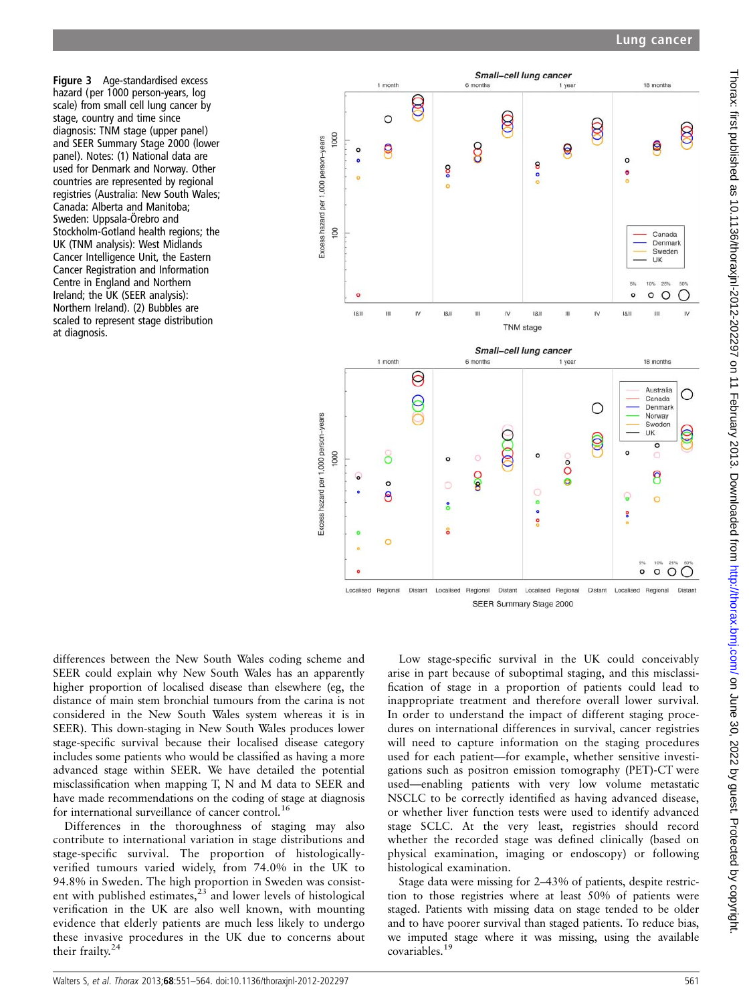Figure 3 Age-standardised excess hazard (per 1000 person-years, log scale) from small cell lung cancer by stage, country and time since diagnosis: TNM stage (upper panel) and SEER Summary Stage 2000 (lower panel). Notes: (1) National data are used for Denmark and Norway. Other countries are represented by regional registries (Australia: New South Wales; Canada: Alberta and Manitoba; Sweden: Uppsala-Örebro and Stockholm-Gotland health regions; the UK (TNM analysis): West Midlands Cancer Intelligence Unit, the Eastern Cancer Registration and Information Centre in England and Northern Ireland; the UK (SEER analysis): Northern Ireland). (2) Bubbles are scaled to represent stage distribution at diagnosis.



differences between the New South Wales coding scheme and SEER could explain why New South Wales has an apparently higher proportion of localised disease than elsewhere (eg, the distance of main stem bronchial tumours from the carina is not considered in the New South Wales system whereas it is in SEER). This down-staging in New South Wales produces lower stage-specific survival because their localised disease category includes some patients who would be classified as having a more advanced stage within SEER. We have detailed the potential misclassification when mapping T, N and M data to SEER and have made recommendations on the coding of stage at diagnosis for international surveillance of cancer control.<sup>16</sup>

Differences in the thoroughness of staging may also contribute to international variation in stage distributions and stage-specific survival. The proportion of histologicallyverified tumours varied widely, from 74.0% in the UK to 94.8% in Sweden. The high proportion in Sweden was consistent with published estimates,<sup>23</sup> and lower levels of histological verification in the UK are also well known, with mounting evidence that elderly patients are much less likely to undergo these invasive procedures in the UK due to concerns about their frailty.<sup>24</sup>

Low stage-specific survival in the UK could conceivably arise in part because of suboptimal staging, and this misclassification of stage in a proportion of patients could lead to inappropriate treatment and therefore overall lower survival. In order to understand the impact of different staging procedures on international differences in survival, cancer registries will need to capture information on the staging procedures used for each patient—for example, whether sensitive investigations such as positron emission tomography (PET)-CT were used—enabling patients with very low volume metastatic NSCLC to be correctly identified as having advanced disease, or whether liver function tests were used to identify advanced stage SCLC. At the very least, registries should record whether the recorded stage was defined clinically (based on physical examination, imaging or endoscopy) or following histological examination.

Stage data were missing for 2–43% of patients, despite restriction to those registries where at least 50% of patients were staged. Patients with missing data on stage tended to be older and to have poorer survival than staged patients. To reduce bias, we imputed stage where it was missing, using the available covariables.<sup>19</sup>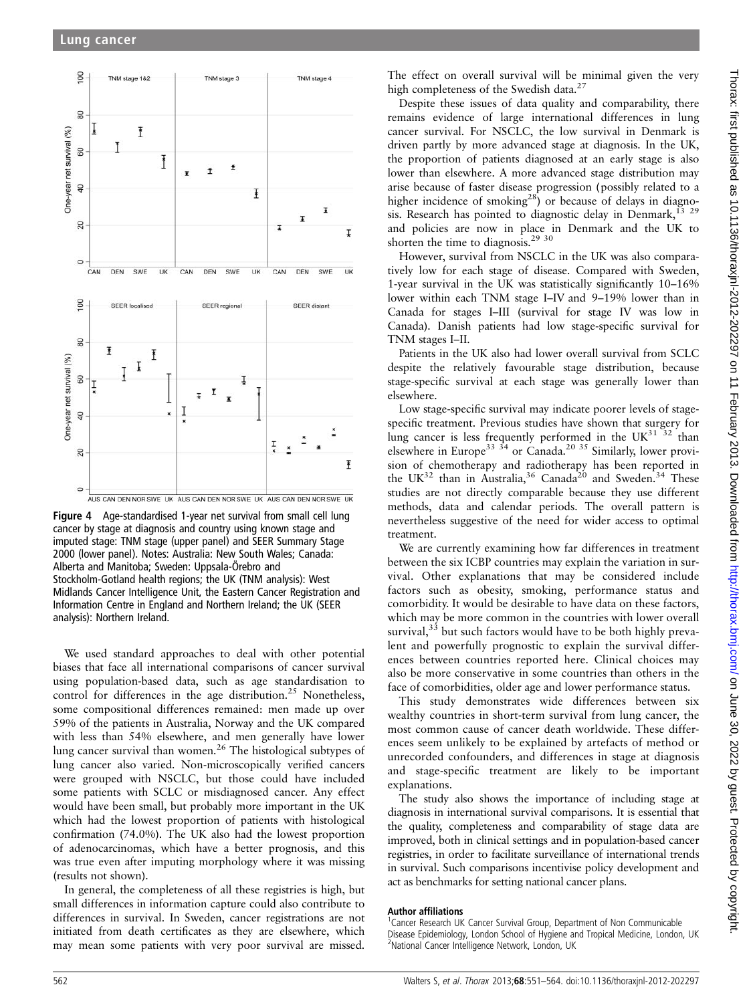

Figure 4 Age-standardised 1-year net survival from small cell lung cancer by stage at diagnosis and country using known stage and imputed stage: TNM stage (upper panel) and SEER Summary Stage 2000 (lower panel). Notes: Australia: New South Wales; Canada: Alberta and Manitoba; Sweden: Uppsala-Örebro and Stockholm-Gotland health regions; the UK (TNM analysis): West Midlands Cancer Intelligence Unit, the Eastern Cancer Registration and Information Centre in England and Northern Ireland; the UK (SEER analysis): Northern Ireland.

We used standard approaches to deal with other potential biases that face all international comparisons of cancer survival using population-based data, such as age standardisation to control for differences in the age distribution.<sup>25</sup> Nonetheless, some compositional differences remained: men made up over 59% of the patients in Australia, Norway and the UK compared with less than 54% elsewhere, and men generally have lower lung cancer survival than women.<sup>26</sup> The histological subtypes of lung cancer also varied. Non-microscopically verified cancers were grouped with NSCLC, but those could have included some patients with SCLC or misdiagnosed cancer. Any effect would have been small, but probably more important in the UK which had the lowest proportion of patients with histological confirmation (74.0%). The UK also had the lowest proportion of adenocarcinomas, which have a better prognosis, and this was true even after imputing morphology where it was missing (results not shown).

In general, the completeness of all these registries is high, but small differences in information capture could also contribute to differences in survival. In Sweden, cancer registrations are not initiated from death certificates as they are elsewhere, which may mean some patients with very poor survival are missed.

The effect on overall survival will be minimal given the very high completeness of the Swedish data.<sup>27</sup>

Despite these issues of data quality and comparability, there remains evidence of large international differences in lung cancer survival. For NSCLC, the low survival in Denmark is driven partly by more advanced stage at diagnosis. In the UK, the proportion of patients diagnosed at an early stage is also lower than elsewhere. A more advanced stage distribution may arise because of faster disease progression (possibly related to a higher incidence of smoking $^{28}$ ) or because of delays in diagnosis. Research has pointed to diagnostic delay in Denmark, and policies are now in place in Denmark and the UK to shorten the time to diagnosis.<sup>29</sup> 30

However, survival from NSCLC in the UK was also comparatively low for each stage of disease. Compared with Sweden, 1-year survival in the UK was statistically significantly 10–16% lower within each TNM stage I–IV and 9–19% lower than in Canada for stages I–III (survival for stage IV was low in Canada). Danish patients had low stage-specific survival for TNM stages I–II.

Patients in the UK also had lower overall survival from SCLC despite the relatively favourable stage distribution, because stage-specific survival at each stage was generally lower than elsewhere.

Low stage-specific survival may indicate poorer levels of stagespecific treatment. Previous studies have shown that surgery for lung cancer is less frequently performed in the UK $^{31}$   $\frac{32}{32}$  than elsewhere in Europe<sup>33 34</sup> or Canada.<sup>20 35</sup> Similarly, lower provision of chemotherapy and radiotherapy has been reported in the UK<sup>32</sup> than in Australia,<sup>36</sup> Canada<sup>20</sup> and Sweden.<sup>34</sup> These studies are not directly comparable because they use different methods, data and calendar periods. The overall pattern is nevertheless suggestive of the need for wider access to optimal treatment.

We are currently examining how far differences in treatment between the six ICBP countries may explain the variation in survival. Other explanations that may be considered include factors such as obesity, smoking, performance status and comorbidity. It would be desirable to have data on these factors, which may be more common in the countries with lower overall survival,<sup>33</sup> but such factors would have to be both highly prevalent and powerfully prognostic to explain the survival differences between countries reported here. Clinical choices may also be more conservative in some countries than others in the face of comorbidities, older age and lower performance status.

This study demonstrates wide differences between six wealthy countries in short-term survival from lung cancer, the most common cause of cancer death worldwide. These differences seem unlikely to be explained by artefacts of method or unrecorded confounders, and differences in stage at diagnosis and stage-specific treatment are likely to be important explanations.

The study also shows the importance of including stage at diagnosis in international survival comparisons. It is essential that the quality, completeness and comparability of stage data are improved, both in clinical settings and in population-based cancer registries, in order to facilitate surveillance of international trends in survival. Such comparisons incentivise policy development and act as benchmarks for setting national cancer plans.

#### Author affiliations <sup>1</sup>

<sup>&</sup>lt;sup>1</sup> Cancer Research UK Cancer Survival Group, Department of Non Communicable Disease Epidemiology, London School of Hygiene and Tropical Medicine, London, UK <sup>2</sup>National Cancer Intelligence Network, London, UK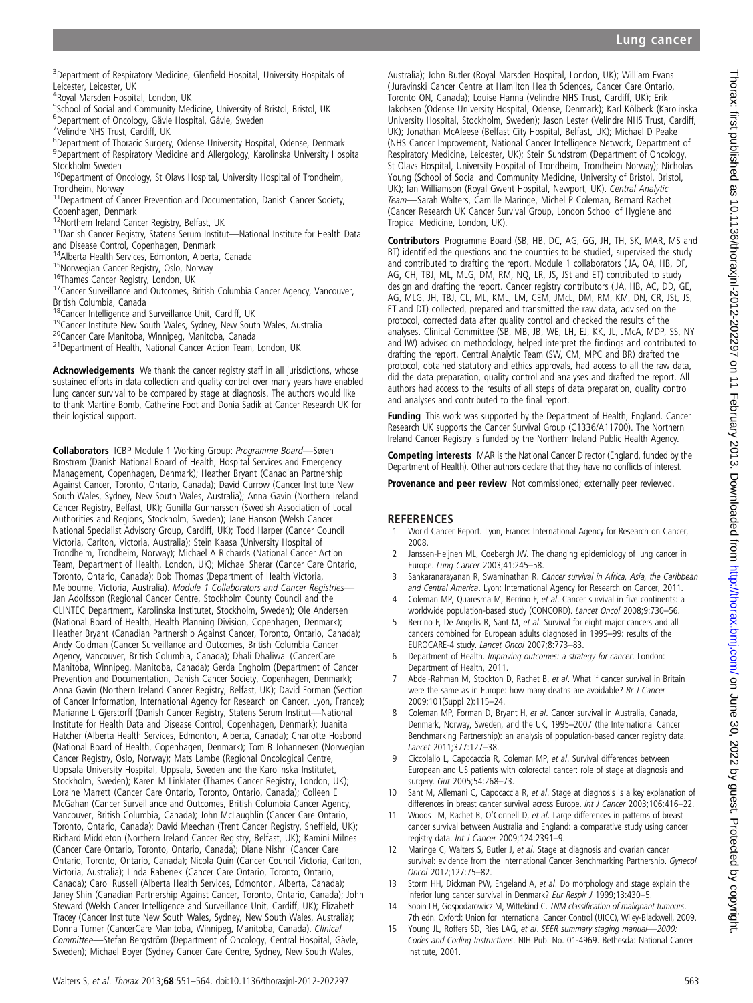<sup>3</sup>Department of Respiratory Medicine, Glenfield Hospital, University Hospitals of Leicester, Leicester, UK

4 Royal Marsden Hospital, London, UK

<sup>5</sup>School of Social and Community Medicine, University of Bristol, Bristol, UK

6 Department of Oncology, Gävle Hospital, Gävle, Sweden

7 Velindre NHS Trust, Cardiff, UK

<sup>8</sup>Department of Thoracic Surgery, Odense University Hospital, Odense, Denmark <sup>9</sup>Department of Respiratory Medicine and Allergology, Karolinska University Hospital Stockholm Sweden

<sup>10</sup>Department of Oncology, St Olavs Hospital, University Hospital of Trondheim, Trondheim, Norway

11Department of Cancer Prevention and Documentation, Danish Cancer Society, Copenhagen, Denmark

 $^{12}$ Northern Ireland Cancer Registry, Belfast, UK<br> $^{13}$ Danish Cancer Registry, Statens Serum Institut—National Institute for Health Data

and Disease Control, Copenhagen, Denmark<br><sup>14</sup>Alberta Health Services, Edmonton, Alberta, Canada

<sup>15</sup>Norwegian Cancer Registry, Oslo, Norway<br><sup>16</sup>Thames Cancer Registry, London, UK<br><sup>17</sup>Cancer Surveillance and Outcomes, British Columbia Cancer Agency, Vancouver, British Columbia, Canada<br><sup>18</sup>Cancer Intelligence and Surveillance Unit, Cardiff, UK

<sup>19</sup>Cancer Institute New South Wales, Sydney, New South Wales, Australia<sup>20</sup>Cancer Care Manitoba, Winnipeg, Manitoba, Canada<sup>21</sup>Department of Health, National Cancer Action Team, London, UK

Acknowledgements We thank the cancer registry staff in all jurisdictions, whose sustained efforts in data collection and quality control over many years have enabled lung cancer survival to be compared by stage at diagnosis. The authors would like to thank Martine Bomb, Catherine Foot and Donia Sadik at Cancer Research UK for their logistical support.

Collaborators ICBP Module 1 Working Group: Programme Board—Søren Brostrøm (Danish National Board of Health, Hospital Services and Emergency Management, Copenhagen, Denmark); Heather Bryant (Canadian Partnership Against Cancer, Toronto, Ontario, Canada); David Currow (Cancer Institute New South Wales, Sydney, New South Wales, Australia); Anna Gavin (Northern Ireland Cancer Registry, Belfast, UK); Gunilla Gunnarsson (Swedish Association of Local Authorities and Regions, Stockholm, Sweden); Jane Hanson (Welsh Cancer National Specialist Advisory Group, Cardiff, UK); Todd Harper (Cancer Council Victoria, Carlton, Victoria, Australia); Stein Kaasa (University Hospital of Trondheim, Trondheim, Norway); Michael A Richards (National Cancer Action Team, Department of Health, London, UK); Michael Sherar (Cancer Care Ontario, Toronto, Ontario, Canada); Bob Thomas (Department of Health Victoria, Melbourne, Victoria, Australia). Module 1 Collaborators and Cancer Registries-Jan Adolfsson (Regional Cancer Centre, Stockholm County Council and the CLINTEC Department, Karolinska Institutet, Stockholm, Sweden); Ole Andersen (National Board of Health, Health Planning Division, Copenhagen, Denmark); Heather Bryant (Canadian Partnership Against Cancer, Toronto, Ontario, Canada); Andy Coldman (Cancer Surveillance and Outcomes, British Columbia Cancer Agency, Vancouver, British Columbia, Canada); Dhali Dhaliwal (CancerCare Manitoba, Winnipeg, Manitoba, Canada); Gerda Engholm (Department of Cancer Prevention and Documentation, Danish Cancer Society, Copenhagen, Denmark); Anna Gavin (Northern Ireland Cancer Registry, Belfast, UK); David Forman (Section of Cancer Information, International Agency for Research on Cancer, Lyon, France); Marianne L Gjerstorff (Danish Cancer Registry, Statens Serum Institut—National Institute for Health Data and Disease Control, Copenhagen, Denmark); Juanita Hatcher (Alberta Health Services, Edmonton, Alberta, Canada); Charlotte Hosbond (National Board of Health, Copenhagen, Denmark); Tom B Johannesen (Norwegian Cancer Registry, Oslo, Norway); Mats Lambe (Regional Oncological Centre, Uppsala University Hospital, Uppsala, Sweden and the Karolinska Institutet, Stockholm, Sweden); Karen M Linklater (Thames Cancer Registry, London, UK); Loraine Marrett (Cancer Care Ontario, Toronto, Ontario, Canada); Colleen E McGahan (Cancer Surveillance and Outcomes, British Columbia Cancer Agency, Vancouver, British Columbia, Canada); John McLaughlin (Cancer Care Ontario, Toronto, Ontario, Canada); David Meechan (Trent Cancer Registry, Sheffield, UK); Richard Middleton (Northern Ireland Cancer Registry, Belfast, UK); Kamini Milnes (Cancer Care Ontario, Toronto, Ontario, Canada); Diane Nishri (Cancer Care Ontario, Toronto, Ontario, Canada); Nicola Quin (Cancer Council Victoria, Carlton, Victoria, Australia); Linda Rabenek (Cancer Care Ontario, Toronto, Ontario, Canada); Carol Russell (Alberta Health Services, Edmonton, Alberta, Canada); Janey Shin (Canadian Partnership Against Cancer, Toronto, Ontario, Canada); John Steward (Welsh Cancer Intelligence and Surveillance Unit, Cardiff, UK); Elizabeth Tracey (Cancer Institute New South Wales, Sydney, New South Wales, Australia); Donna Turner (CancerCare Manitoba, Winnipeg, Manitoba, Canada). Clinical Committee—Stefan Bergström (Department of Oncology, Central Hospital, Gävle, Sweden); Michael Boyer (Sydney Cancer Care Centre, Sydney, New South Wales,

Australia); John Butler (Royal Marsden Hospital, London, UK); William Evans ( Juravinski Cancer Centre at Hamilton Health Sciences, Cancer Care Ontario, Toronto ON, Canada); Louise Hanna (Velindre NHS Trust, Cardiff, UK); Erik Jakobsen (Odense University Hospital, Odense, Denmark); Karl Kölbeck (Karolinska University Hospital, Stockholm, Sweden); Jason Lester (Velindre NHS Trust, Cardiff, UK); Jonathan McAleese (Belfast City Hospital, Belfast, UK); Michael D Peake (NHS Cancer Improvement, National Cancer Intelligence Network, Department of Respiratory Medicine, Leicester, UK); Stein Sundstrøm (Department of Oncology, St Olavs Hospital, University Hospital of Trondheim, Trondheim Norway); Nicholas Young (School of Social and Community Medicine, University of Bristol, Bristol, UK); Ian Williamson (Royal Gwent Hospital, Newport, UK). Central Analytic Team—Sarah Walters, Camille Maringe, Michel P Coleman, Bernard Rachet (Cancer Research UK Cancer Survival Group, London School of Hygiene and Tropical Medicine, London, UK).

Contributors Programme Board (SB, HB, DC, AG, GG, JH, TH, SK, MAR, MS and BT) identified the questions and the countries to be studied, supervised the study and contributed to drafting the report. Module 1 collaborators ( JA, OA, HB, DF, AG, CH, TBJ, ML, MLG, DM, RM, NQ, LR, JS, JSt and ET) contributed to study design and drafting the report. Cancer registry contributors ( JA, HB, AC, DD, GE, AG, MLG, JH, TBJ, CL, ML, KML, LM, CEM, JMcL, DM, RM, KM, DN, CR, JSt, JS, ET and DT) collected, prepared and transmitted the raw data, advised on the protocol, corrected data after quality control and checked the results of the analyses. Clinical Committee (SB, MB, JB, WE, LH, EJ, KK, JL, JMcA, MDP, SS, NY and IW) advised on methodology, helped interpret the findings and contributed to drafting the report. Central Analytic Team (SW, CM, MPC and BR) drafted the protocol, obtained statutory and ethics approvals, had access to all the raw data, did the data preparation, quality control and analyses and drafted the report. All authors had access to the results of all steps of data preparation, quality control and analyses and contributed to the final report.

Funding This work was supported by the Department of Health, England. Cancer Research UK supports the Cancer Survival Group (C1336/A11700). The Northern Ireland Cancer Registry is funded by the Northern Ireland Public Health Agency.

Competing interests MAR is the National Cancer Director (England, funded by the Department of Health). Other authors declare that they have no conflicts of interest.

Provenance and peer review Not commissioned; externally peer reviewed.

#### **REFERENCES**

- 1 World Cancer Report. Lyon, France: International Agency for Research on Cancer, 2008.
- 2 Janssen-Heijnen ML, Coebergh JW. The changing epidemiology of lung cancer in Europe. Lung Cancer 2003;41:245–58.
- 3 Sankaranarayanan R, Swaminathan R. Cancer survival in Africa, Asia, the Caribbean and Central America. Lyon: International Agency for Research on Cancer, 2011.
- 4 Coleman MP, Quaresma M, Berrino F, et al. Cancer survival in five continents: a worldwide population-based study (CONCORD). Lancet Oncol 2008;9:730–56.
- Berrino F, De Angelis R, Sant M, et al. Survival for eight major cancers and all cancers combined for European adults diagnosed in 1995–99: results of the EUROCARE-4 study. Lancet Oncol 2007;8:773–83.
- 6 Department of Health. Improving outcomes: a strategy for cancer. London: Department of Health, 2011.
- Abdel-Rahman M, Stockton D, Rachet B, et al. What if cancer survival in Britain were the same as in Europe: how many deaths are avoidable? Br J Cancer 2009;101(Suppl 2):115–24.
- 8 Coleman MP, Forman D, Bryant H, et al. Cancer survival in Australia, Canada, Denmark, Norway, Sweden, and the UK, 1995–2007 (the International Cancer Benchmarking Partnership): an analysis of population-based cancer registry data. Lancet 2011;377:127–38.
- Ciccolallo L, Capocaccia R, Coleman MP, et al. Survival differences between European and US patients with colorectal cancer: role of stage at diagnosis and surgery. Gut 2005;54:268–73.
- 10 Sant M, Allemani C, Capocaccia R, et al. Stage at diagnosis is a key explanation of differences in breast cancer survival across Europe. Int J Cancer 2003;106:416–22.
- 11 Woods LM, Rachet B, O'Connell D, et al. Large differences in patterns of breast cancer survival between Australia and England: a comparative study using cancer registry data. Int J Cancer 2009;124:2391–9.
- 12 Maringe C, Walters S, Butler J, et al. Stage at diagnosis and ovarian cancer survival: evidence from the International Cancer Benchmarking Partnership. Gynecol Oncol 2012;127:75–82.
- 13 Storm HH, Dickman PW, Engeland A, et al. Do morphology and stage explain the inferior lung cancer survival in Denmark? Eur Respir J 1999;13:430-5.
- 14 Sobin LH, Gospodarowicz M, Wittekind C. TNM classification of malignant tumours. 7th edn. Oxford: Union for International Cancer Control (UICC), Wiley-Blackwell, 2009.
- 15 Young JL, Roffers SD, Ries LAG, et al. SEER summary staging manual-2000: Codes and Coding Instructions. NIH Pub. No. 01-4969. Bethesda: National Cancer Institute, 2001.